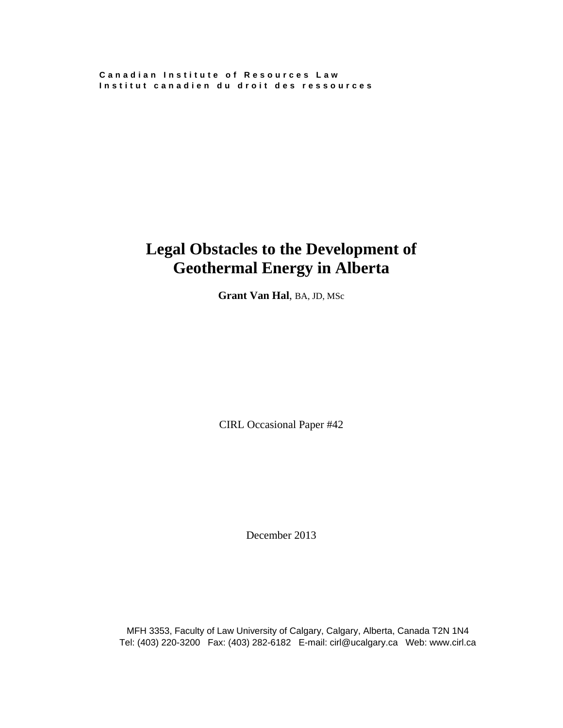**Canadian Institute of Resources Law Institut canadien du droit des ressources** 

# **Legal Obstacles to the Development of Geothermal Energy in Alberta**

**Grant Van Hal**, BA, JD, MSc

CIRL Occasional Paper #42

December 2013

MFH 3353, Faculty of Law University of Calgary, Calgary, Alberta, Canada T2N 1N4 Tel: (403) 220-3200 Fax: (403) 282-6182 E-mail: cirl@ucalgary.ca Web: www.cirl.ca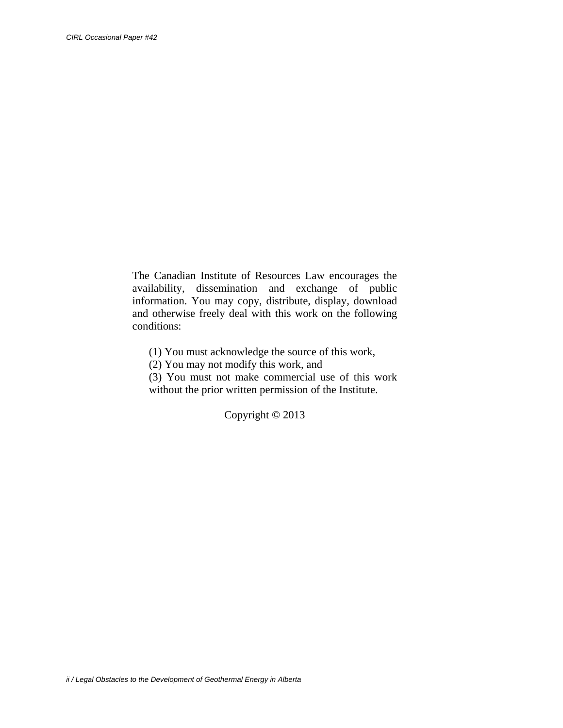The Canadian Institute of Resources Law encourages the availability, dissemination and exchange of public information. You may copy, distribute, display, download and otherwise freely deal with this work on the following conditions:

- (1) You must acknowledge the source of this work,
- (2) You may not modify this work, and
- (3) You must not make commercial use of this work without the prior written permission of the Institute.

Copyright © 2013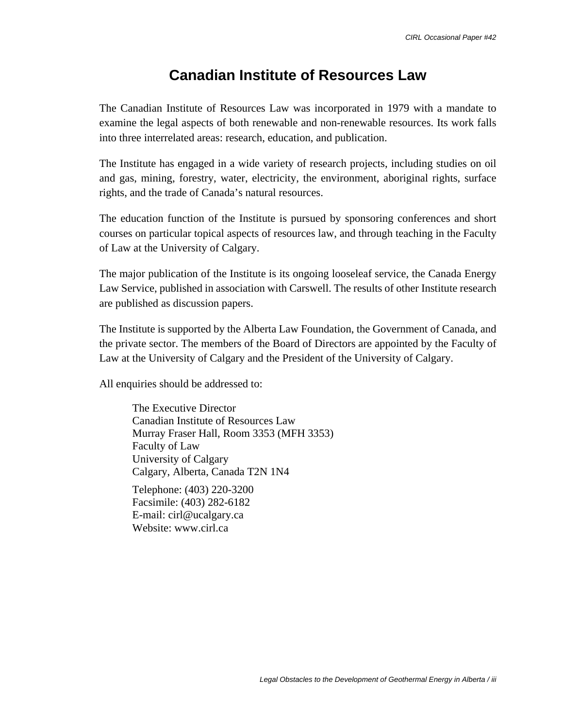# **Canadian Institute of Resources Law**

The Canadian Institute of Resources Law was incorporated in 1979 with a mandate to examine the legal aspects of both renewable and non-renewable resources. Its work falls into three interrelated areas: research, education, and publication.

The Institute has engaged in a wide variety of research projects, including studies on oil and gas, mining, forestry, water, electricity, the environment, aboriginal rights, surface rights, and the trade of Canada's natural resources.

The education function of the Institute is pursued by sponsoring conferences and short courses on particular topical aspects of resources law, and through teaching in the Faculty of Law at the University of Calgary.

The major publication of the Institute is its ongoing looseleaf service, the Canada Energy Law Service, published in association with Carswell. The results of other Institute research are published as discussion papers.

The Institute is supported by the Alberta Law Foundation, the Government of Canada, and the private sector. The members of the Board of Directors are appointed by the Faculty of Law at the University of Calgary and the President of the University of Calgary.

All enquiries should be addressed to:

 The Executive Director Canadian Institute of Resources Law Murray Fraser Hall, Room 3353 (MFH 3353) Faculty of Law University of Calgary Calgary, Alberta, Canada T2N 1N4

 Telephone: (403) 220-3200 Facsimile: (403) 282-6182 E-mail: cirl@ucalgary.ca Website: www.cirl.ca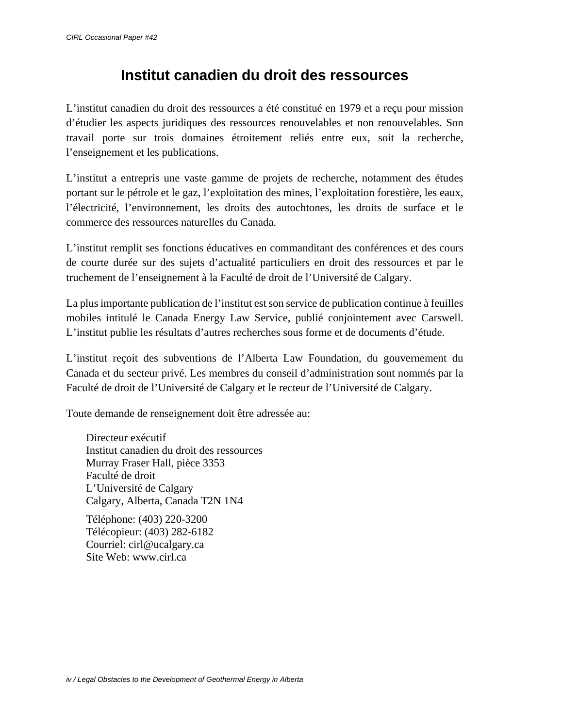# **Institut canadien du droit des ressources**

L'institut canadien du droit des ressources a été constitué en 1979 et a reçu pour mission d'étudier les aspects juridiques des ressources renouvelables et non renouvelables. Son travail porte sur trois domaines étroitement reliés entre eux, soit la recherche, l'enseignement et les publications.

L'institut a entrepris une vaste gamme de projets de recherche, notamment des études portant sur le pétrole et le gaz, l'exploitation des mines, l'exploitation forestière, les eaux, l'électricité, l'environnement, les droits des autochtones, les droits de surface et le commerce des ressources naturelles du Canada.

L'institut remplit ses fonctions éducatives en commanditant des conférences et des cours de courte durée sur des sujets d'actualité particuliers en droit des ressources et par le truchement de l'enseignement à la Faculté de droit de l'Université de Calgary.

La plus importante publication de l'institut est son service de publication continue à feuilles mobiles intitulé le Canada Energy Law Service, publié conjointement avec Carswell. L'institut publie les résultats d'autres recherches sous forme et de documents d'étude.

L'institut reçoit des subventions de l'Alberta Law Foundation, du gouvernement du Canada et du secteur privé. Les membres du conseil d'administration sont nommés par la Faculté de droit de l'Université de Calgary et le recteur de l'Université de Calgary.

Toute demande de renseignement doit être adressée au:

Directeur exécutif Institut canadien du droit des ressources Murray Fraser Hall, pièce 3353 Faculté de droit L'Université de Calgary Calgary, Alberta, Canada T2N 1N4

Téléphone: (403) 220-3200 Télécopieur: (403) 282-6182 Courriel: cirl@ucalgary.ca Site Web: www.cirl.ca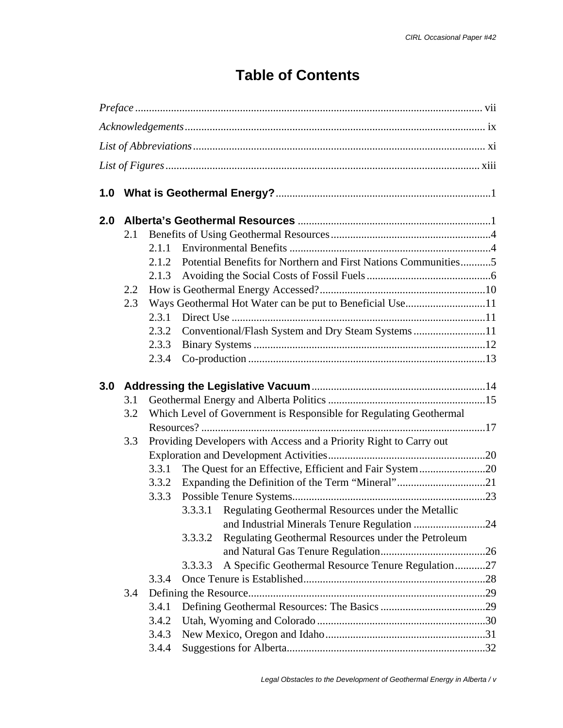# **Table of Contents**

| 2.0 <sub>1</sub> |                                                                           |                                                                    |         |                                                                |  |
|------------------|---------------------------------------------------------------------------|--------------------------------------------------------------------|---------|----------------------------------------------------------------|--|
| 2.1              |                                                                           |                                                                    |         |                                                                |  |
|                  | 2.1.1                                                                     |                                                                    |         |                                                                |  |
|                  | 2.1.2                                                                     |                                                                    |         | Potential Benefits for Northern and First Nations Communities5 |  |
|                  | 2.1.3                                                                     |                                                                    |         |                                                                |  |
|                  | 2.2                                                                       |                                                                    |         |                                                                |  |
|                  | 2.3                                                                       |                                                                    |         | Ways Geothermal Hot Water can be put to Beneficial Use11       |  |
|                  |                                                                           | 2.3.1                                                              |         |                                                                |  |
|                  |                                                                           | 2.3.2                                                              |         | Conventional/Flash System and Dry Steam Systems11              |  |
|                  |                                                                           | 2.3.3                                                              |         |                                                                |  |
|                  |                                                                           | 2.3.4                                                              |         |                                                                |  |
|                  |                                                                           |                                                                    |         |                                                                |  |
|                  | 3.1                                                                       |                                                                    |         |                                                                |  |
|                  | Which Level of Government is Responsible for Regulating Geothermal<br>3.2 |                                                                    |         |                                                                |  |
|                  |                                                                           |                                                                    |         |                                                                |  |
|                  | 3.3                                                                       | Providing Developers with Access and a Priority Right to Carry out |         |                                                                |  |
|                  |                                                                           |                                                                    |         |                                                                |  |
|                  |                                                                           | 3.3.1                                                              |         |                                                                |  |
|                  |                                                                           | 3.3.2                                                              |         | Expanding the Definition of the Term "Mineral"21               |  |
|                  |                                                                           | 3.3.3                                                              |         |                                                                |  |
|                  |                                                                           |                                                                    |         | 3.3.3.1 Regulating Geothermal Resources under the Metallic     |  |
|                  |                                                                           |                                                                    |         | and Industrial Minerals Tenure Regulation 24                   |  |
|                  |                                                                           |                                                                    | 3.3.3.2 | Regulating Geothermal Resources under the Petroleum            |  |
|                  |                                                                           |                                                                    |         |                                                                |  |
|                  |                                                                           |                                                                    | 3.3.3.3 | A Specific Geothermal Resource Tenure Regulation27             |  |
|                  |                                                                           | 3.3.4                                                              |         |                                                                |  |
|                  | 3.4                                                                       |                                                                    |         |                                                                |  |
|                  |                                                                           | 3.4.1                                                              |         |                                                                |  |
|                  |                                                                           | 3.4.2                                                              |         |                                                                |  |
|                  | 3.4.3                                                                     |                                                                    |         |                                                                |  |
|                  |                                                                           | 3.4.4                                                              |         |                                                                |  |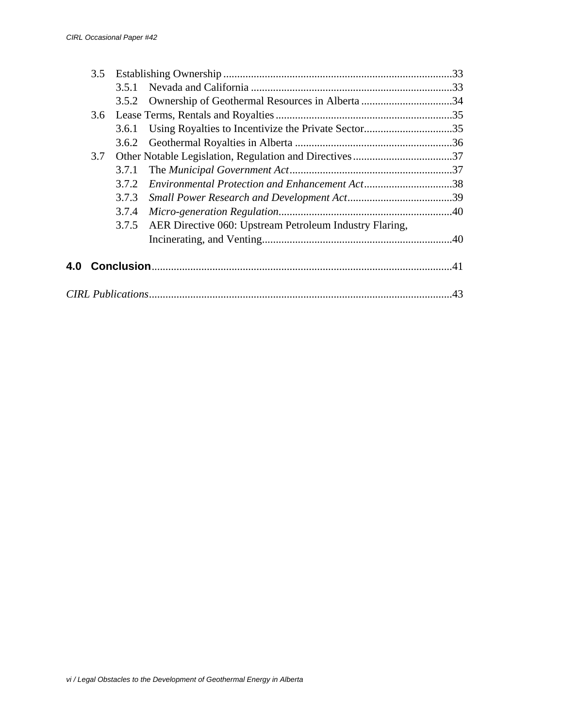|     | 3.5 |       |                                                         |     |
|-----|-----|-------|---------------------------------------------------------|-----|
|     |     | 3.5.1 |                                                         |     |
|     |     |       | 3.5.2 Ownership of Geothermal Resources in Alberta 34   |     |
|     | 3.6 |       |                                                         |     |
|     |     | 3.6.1 |                                                         |     |
|     |     |       |                                                         |     |
|     | 3.7 |       |                                                         |     |
|     |     | 3.7.1 |                                                         |     |
|     |     | 3.7.2 |                                                         |     |
|     |     | 3.7.3 |                                                         |     |
|     |     | 3.7.4 |                                                         |     |
|     |     | 3.7.5 | AER Directive 060: Upstream Petroleum Industry Flaring, |     |
|     |     |       |                                                         |     |
| 4.0 |     |       |                                                         |     |
|     |     |       |                                                         | .43 |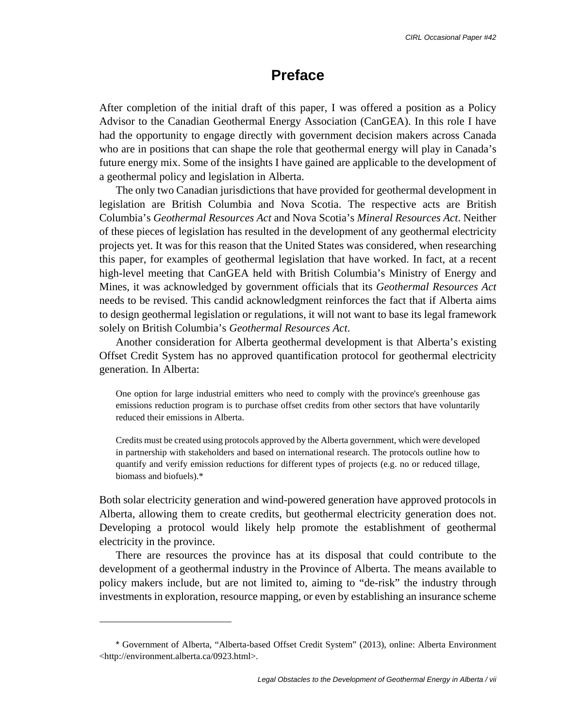## **Preface**

After completion of the initial draft of this paper, I was offered a position as a Policy Advisor to the Canadian Geothermal Energy Association (CanGEA). In this role I have had the opportunity to engage directly with government decision makers across Canada who are in positions that can shape the role that geothermal energy will play in Canada's future energy mix. Some of the insights I have gained are applicable to the development of a geothermal policy and legislation in Alberta.

The only two Canadian jurisdictions that have provided for geothermal development in legislation are British Columbia and Nova Scotia. The respective acts are British Columbia's *Geothermal Resources Act* and Nova Scotia's *Mineral Resources Act*. Neither of these pieces of legislation has resulted in the development of any geothermal electricity projects yet. It was for this reason that the United States was considered, when researching this paper, for examples of geothermal legislation that have worked. In fact, at a recent high-level meeting that CanGEA held with British Columbia's Ministry of Energy and Mines, it was acknowledged by government officials that its *Geothermal Resources Act* needs to be revised. This candid acknowledgment reinforces the fact that if Alberta aims to design geothermal legislation or regulations, it will not want to base its legal framework solely on British Columbia's *Geothermal Resources Act*.

Another consideration for Alberta geothermal development is that Alberta's existing Offset Credit System has no approved quantification protocol for geothermal electricity generation. In Alberta:

One option for large industrial emitters who need to comply with the province's greenhouse gas emissions reduction program is to purchase offset credits from other sectors that have voluntarily reduced their emissions in Alberta.

Credits must be created using protocols approved by the Alberta government, which were developed in partnership with stakeholders and based on international research. The protocols outline how to quantify and verify emission reductions for different types of projects (e.g. no or reduced tillage, biomass and biofuels).\*

Both solar electricity generation and wind-powered generation have approved protocols in Alberta, allowing them to create credits, but geothermal electricity generation does not. Developing a protocol would likely help promote the establishment of geothermal electricity in the province.

There are resources the province has at its disposal that could contribute to the development of a geothermal industry in the Province of Alberta. The means available to policy makers include, but are not limited to, aiming to "de-risk" the industry through investments in exploration, resource mapping, or even by establishing an insurance scheme

<sup>\*</sup> Government of Alberta, "Alberta-based Offset Credit System" (2013), online: Alberta Environment <http://environment.alberta.ca/0923.html>.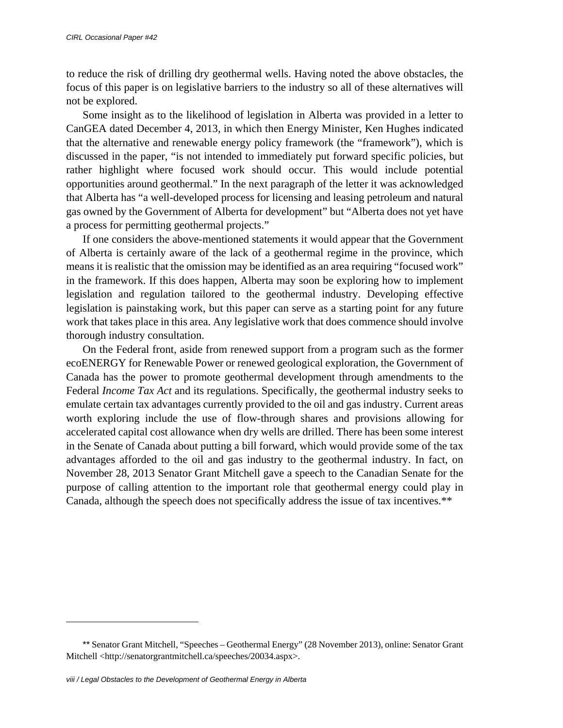to reduce the risk of drilling dry geothermal wells. Having noted the above obstacles, the focus of this paper is on legislative barriers to the industry so all of these alternatives will not be explored.

Some insight as to the likelihood of legislation in Alberta was provided in a letter to CanGEA dated December 4, 2013, in which then Energy Minister, Ken Hughes indicated that the alternative and renewable energy policy framework (the "framework"), which is discussed in the paper, "is not intended to immediately put forward specific policies, but rather highlight where focused work should occur. This would include potential opportunities around geothermal." In the next paragraph of the letter it was acknowledged that Alberta has "a well-developed process for licensing and leasing petroleum and natural gas owned by the Government of Alberta for development" but "Alberta does not yet have a process for permitting geothermal projects."

If one considers the above-mentioned statements it would appear that the Government of Alberta is certainly aware of the lack of a geothermal regime in the province, which means it is realistic that the omission may be identified as an area requiring "focused work" in the framework. If this does happen, Alberta may soon be exploring how to implement legislation and regulation tailored to the geothermal industry. Developing effective legislation is painstaking work, but this paper can serve as a starting point for any future work that takes place in this area. Any legislative work that does commence should involve thorough industry consultation.

On the Federal front, aside from renewed support from a program such as the former ecoENERGY for Renewable Power or renewed geological exploration, the Government of Canada has the power to promote geothermal development through amendments to the Federal *Income Tax Act* and its regulations. Specifically, the geothermal industry seeks to emulate certain tax advantages currently provided to the oil and gas industry. Current areas worth exploring include the use of flow-through shares and provisions allowing for accelerated capital cost allowance when dry wells are drilled. There has been some interest in the Senate of Canada about putting a bill forward, which would provide some of the tax advantages afforded to the oil and gas industry to the geothermal industry. In fact, on November 28, 2013 Senator Grant Mitchell gave a speech to the Canadian Senate for the purpose of calling attention to the important role that geothermal energy could play in Canada, although the speech does not specifically address the issue of tax incentives.\*\*

<sup>\*\*</sup> Senator Grant Mitchell, "Speeches – Geothermal Energy" (28 November 2013), online: Senator Grant Mitchell <http://senatorgrantmitchell.ca/speeches/20034.aspx>.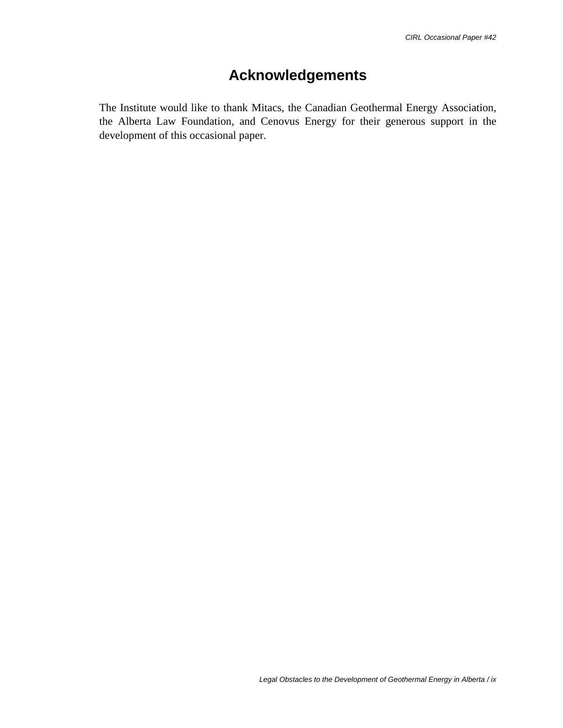# **Acknowledgements**

The Institute would like to thank Mitacs, the Canadian Geothermal Energy Association, the Alberta Law Foundation, and Cenovus Energy for their generous support in the development of this occasional paper.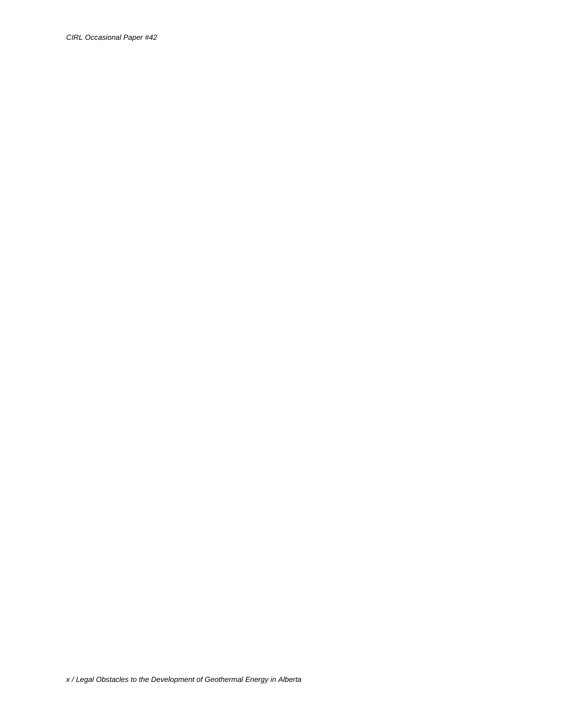*CIRL Occasional Paper #42*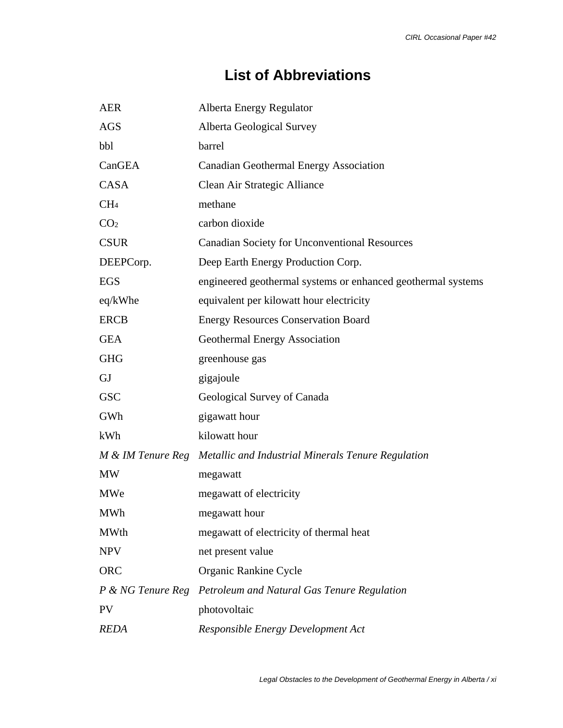# **List of Abbreviations**

| <b>AER</b>      | Alberta Energy Regulator                                             |
|-----------------|----------------------------------------------------------------------|
| <b>AGS</b>      | <b>Alberta Geological Survey</b>                                     |
| bbl             | barrel                                                               |
| CanGEA          | <b>Canadian Geothermal Energy Association</b>                        |
| <b>CASA</b>     | Clean Air Strategic Alliance                                         |
| CH <sub>4</sub> | methane                                                              |
| CO <sub>2</sub> | carbon dioxide                                                       |
| <b>CSUR</b>     | <b>Canadian Society for Unconventional Resources</b>                 |
| DEEPCorp.       | Deep Earth Energy Production Corp.                                   |
| <b>EGS</b>      | engineered geothermal systems or enhanced geothermal systems         |
| eq/kWhe         | equivalent per kilowatt hour electricity                             |
| <b>ERCB</b>     | <b>Energy Resources Conservation Board</b>                           |
| <b>GEA</b>      | Geothermal Energy Association                                        |
| <b>GHG</b>      | greenhouse gas                                                       |
| GJ              | gigajoule                                                            |
| <b>GSC</b>      | Geological Survey of Canada                                          |
| GWh             | gigawatt hour                                                        |
| kWh             | kilowatt hour                                                        |
|                 | M & IM Tenure Reg Metallic and Industrial Minerals Tenure Regulation |
| <b>MW</b>       | megawatt                                                             |
| <b>MWe</b>      | megawatt of electricity                                              |
| MWh             | megawatt hour                                                        |
| <b>MWth</b>     | megawatt of electricity of thermal heat                              |
| <b>NPV</b>      | net present value                                                    |
| <b>ORC</b>      | Organic Rankine Cycle                                                |
|                 | P & NG Tenure Reg Petroleum and Natural Gas Tenure Regulation        |
| <b>PV</b>       | photovoltaic                                                         |
| <b>REDA</b>     | Responsible Energy Development Act                                   |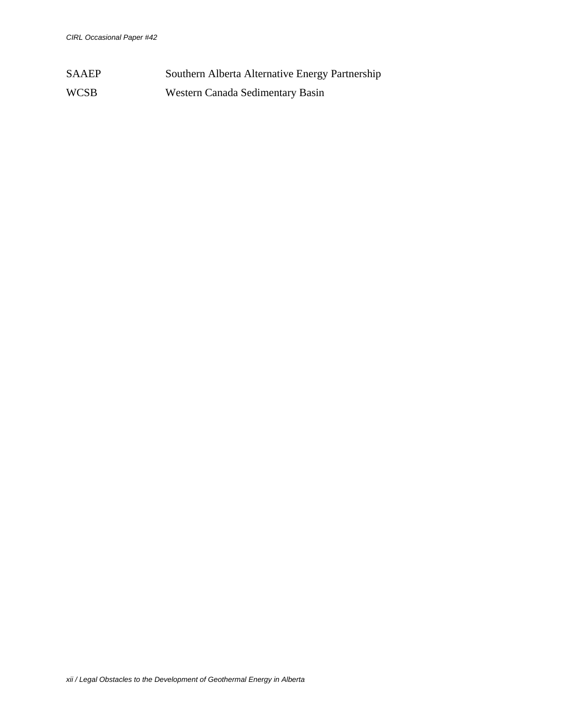| <b>SAAEP</b> | Southern Alberta Alternative Energy Partnership |
|--------------|-------------------------------------------------|
| <b>WCSB</b>  | Western Canada Sedimentary Basin                |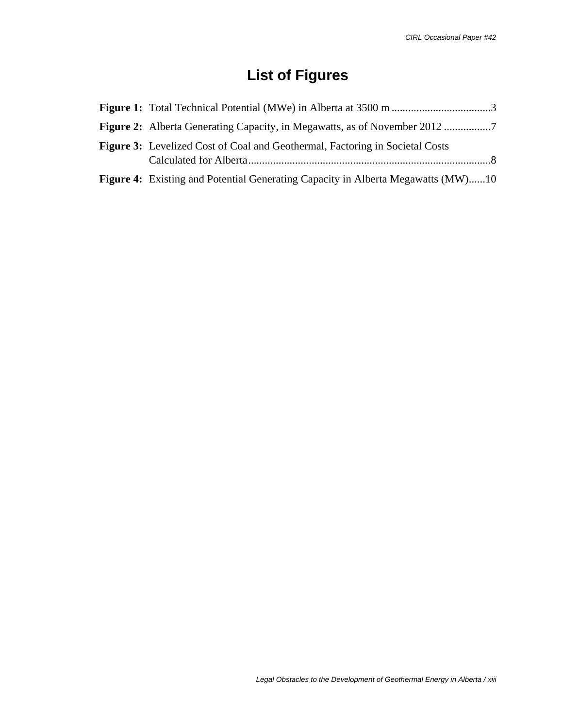# **List of Figures**

| <b>Figure 3:</b> Levelized Cost of Coal and Geothermal, Factoring in Societal Costs     |
|-----------------------------------------------------------------------------------------|
| <b>Figure 4:</b> Existing and Potential Generating Capacity in Alberta Megawatts (MW)10 |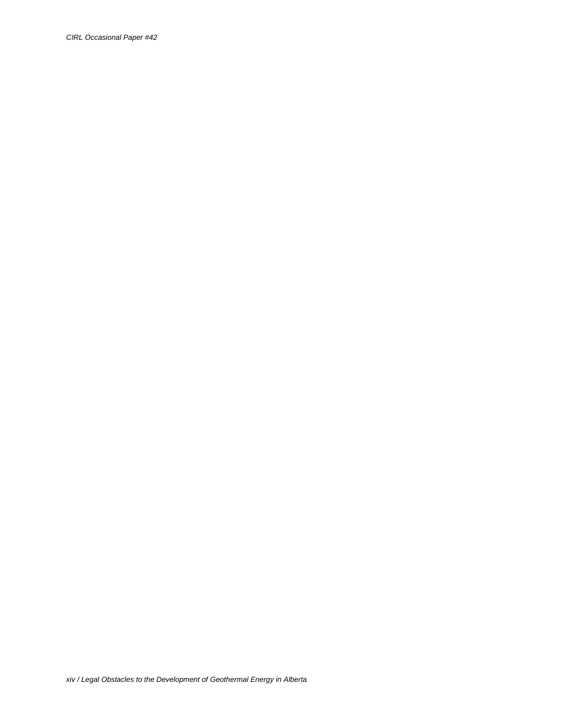*CIRL Occasional Paper #42*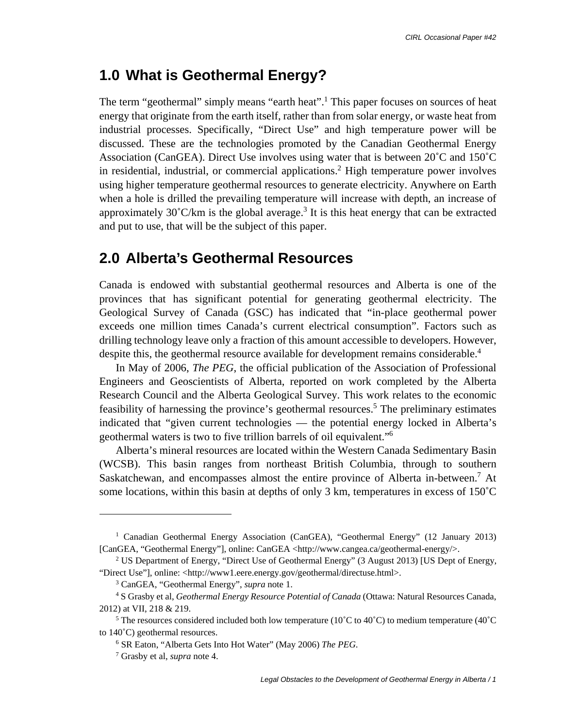# **1.0 What is Geothermal Energy?**

The term "geothermal" simply means "earth heat".<sup>1</sup> This paper focuses on sources of heat energy that originate from the earth itself, rather than from solar energy, or waste heat from industrial processes. Specifically, "Direct Use" and high temperature power will be discussed. These are the technologies promoted by the Canadian Geothermal Energy Association (CanGEA). Direct Use involves using water that is between 20˚C and 150˚C in residential, industrial, or commercial applications.<sup>2</sup> High temperature power involves using higher temperature geothermal resources to generate electricity. Anywhere on Earth when a hole is drilled the prevailing temperature will increase with depth, an increase of approximately  $30^{\circ}$ C/km is the global average.<sup>3</sup> It is this heat energy that can be extracted and put to use, that will be the subject of this paper.

## **2.0 Alberta's Geothermal Resources**

Canada is endowed with substantial geothermal resources and Alberta is one of the provinces that has significant potential for generating geothermal electricity. The Geological Survey of Canada (GSC) has indicated that "in-place geothermal power exceeds one million times Canada's current electrical consumption". Factors such as drilling technology leave only a fraction of this amount accessible to developers. However, despite this, the geothermal resource available for development remains considerable.<sup>4</sup>

In May of 2006, *The PEG*, the official publication of the Association of Professional Engineers and Geoscientists of Alberta, reported on work completed by the Alberta Research Council and the Alberta Geological Survey. This work relates to the economic feasibility of harnessing the province's geothermal resources.<sup>5</sup> The preliminary estimates indicated that "given current technologies — the potential energy locked in Alberta's geothermal waters is two to five trillion barrels of oil equivalent."6

Alberta's mineral resources are located within the Western Canada Sedimentary Basin (WCSB). This basin ranges from northeast British Columbia, through to southern Saskatchewan, and encompasses almost the entire province of Alberta in-between.<sup>7</sup> At some locations, within this basin at depths of only 3 km, temperatures in excess of  $150^{\circ}$ C

1

<sup>&</sup>lt;sup>1</sup> Canadian Geothermal Energy Association (CanGEA), "Geothermal Energy" (12 January 2013) [CanGEA, "Geothermal Energy"], online: CanGEA <http://www.cangea.ca/geothermal-energy/>.

US Department of Energy, "Direct Use of Geothermal Energy" (3 August 2013) [US Dept of Energy, "Direct Use"], online: <http://www1.eere.energy.gov/geothermal/directuse.html>.

CanGEA, "Geothermal Energy", *supra* note 1. 4

S Grasby et al, *Geothermal Energy Resource Potential of Canada* (Ottawa: Natural Resources Canada, 2012) at VII, 218 & 219.

<sup>&</sup>lt;sup>5</sup> The resources considered included both low temperature ( $10^{\circ}$ C to  $40^{\circ}$ C) to medium temperature ( $40^{\circ}$ C to  $140^{\circ}$ C) geothermal resources.

<sup>&</sup>lt;sup>6</sup> SR Eaton, "Alberta Gets Into Hot Water" (May 2006) *The PEG*.

Grasby et al, *supra* note 4.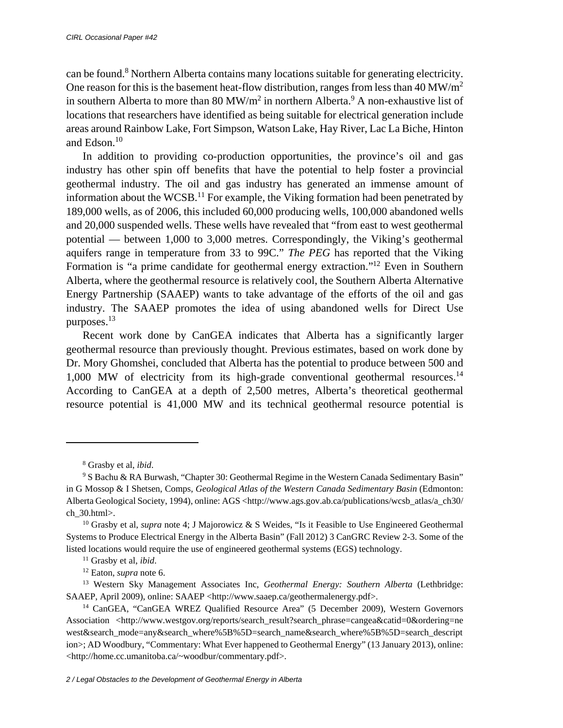can be found.<sup>8</sup> Northern Alberta contains many locations suitable for generating electricity. One reason for this is the basement heat-flow distribution, ranges from less than  $40 \,\mathrm{MW/m}^2$ in southern Alberta to more than  $80 \text{ MW/m}^2$  in northern Alberta.<sup>9</sup> A non-exhaustive list of locations that researchers have identified as being suitable for electrical generation include areas around Rainbow Lake, Fort Simpson, Watson Lake, Hay River, Lac La Biche, Hinton and Edson.<sup>10</sup>

In addition to providing co-production opportunities, the province's oil and gas industry has other spin off benefits that have the potential to help foster a provincial geothermal industry. The oil and gas industry has generated an immense amount of information about the WCSB.<sup>11</sup> For example, the Viking formation had been penetrated by 189,000 wells, as of 2006, this included 60,000 producing wells, 100,000 abandoned wells and 20,000 suspended wells. These wells have revealed that "from east to west geothermal potential — between 1,000 to 3,000 metres. Correspondingly, the Viking's geothermal aquifers range in temperature from 33 to 99C." *The PEG* has reported that the Viking Formation is "a prime candidate for geothermal energy extraction."12 Even in Southern Alberta, where the geothermal resource is relatively cool, the Southern Alberta Alternative Energy Partnership (SAAEP) wants to take advantage of the efforts of the oil and gas industry. The SAAEP promotes the idea of using abandoned wells for Direct Use purposes.13

Recent work done by CanGEA indicates that Alberta has a significantly larger geothermal resource than previously thought. Previous estimates, based on work done by Dr. Mory Ghomshei, concluded that Alberta has the potential to produce between 500 and 1,000 MW of electricity from its high-grade conventional geothermal resources.<sup>14</sup> According to CanGEA at a depth of 2,500 metres, Alberta's theoretical geothermal resource potential is 41,000 MW and its technical geothermal resource potential is

1

SAAEP, April 2009), online: SAAEP <http://www.saaep.ca/geothermalenergy.pdf>. 14 CanGEA, "CanGEA WREZ Qualified Resource Area" (5 December 2009), Western Governors

<sup>&</sup>lt;sup>8</sup> Grasby et al, *ibid*.<br><sup>9</sup> S Bachu & R A But

<sup>&</sup>lt;sup>9</sup> S Bachu & RA Burwash, "Chapter 30: Geothermal Regime in the Western Canada Sedimentary Basin" in G Mossop & I Shetsen, Comps, *Geological Atlas of the Western Canada Sedimentary Basin* (Edmonton: Alberta Geological Society, 1994), online: AGS <http://www.ags.gov.ab.ca/publications/wcsb\_atlas/a\_ch30/ ch\_30.html>. 10 Grasby et al, *supra* note 4; J Majorowicz & S Weides, "Is it Feasible to Use Engineered Geothermal

Systems to Produce Electrical Energy in the Alberta Basin" (Fall 2012) 3 CanGRC Review 2-3. Some of the listed locations would require the use of engineered geothermal systems (EGS) technology.<br><sup>11</sup> Grasby et al, *ibid.*<br><sup>12</sup> Eaton, *supra* note 6.<br><sup>13</sup> Western Sky Management Associates Inc, *Geothermal Energy: Southern Albe* 

Association <http://www.westgov.org/reports/search\_result?search\_phrase=cangea&catid=0&ordering=ne west&search\_mode=any&search\_where%5B%5D=search\_name&search\_where%5B%5D=search\_descript ion>; AD Woodbury, "Commentary: What Ever happened to Geothermal Energy" (13 January 2013), online: <http://home.cc.umanitoba.ca/~woodbur/commentary.pdf>.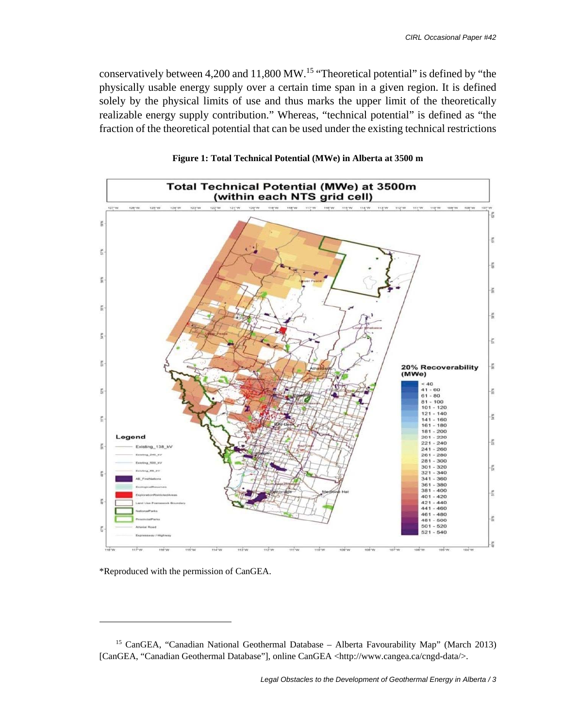conservatively between 4,200 and 11,800 MW.15 "Theoretical potential" is defined by "the physically usable energy supply over a certain time span in a given region. It is defined solely by the physical limits of use and thus marks the upper limit of the theoretically realizable energy supply contribution." Whereas, "technical potential" is defined as "the fraction of the theoretical potential that can be used under the existing technical restrictions



**Figure 1: Total Technical Potential (MWe) in Alberta at 3500 m**

\*Reproduced with the permission of CanGEA.

<sup>15</sup> CanGEA, "Canadian National Geothermal Database – Alberta Favourability Map" (March 2013) [CanGEA, "Canadian Geothermal Database"], online CanGEA <http://www.cangea.ca/cngd-data/>.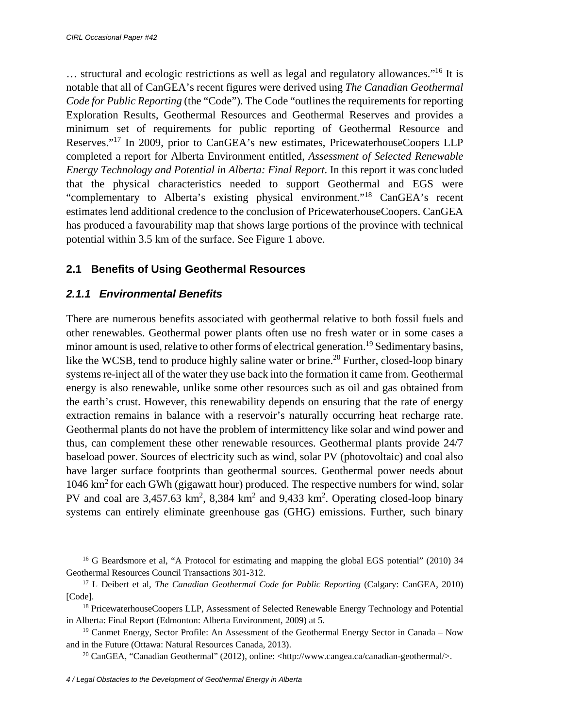… structural and ecologic restrictions as well as legal and regulatory allowances."16 It is notable that all of CanGEA's recent figures were derived using *The Canadian Geothermal Code for Public Reporting* (the "Code"). The Code "outlines the requirements for reporting Exploration Results, Geothermal Resources and Geothermal Reserves and provides a minimum set of requirements for public reporting of Geothermal Resource and Reserves."17 In 2009, prior to CanGEA's new estimates, PricewaterhouseCoopers LLP completed a report for Alberta Environment entitled, *Assessment of Selected Renewable Energy Technology and Potential in Alberta: Final Report*. In this report it was concluded that the physical characteristics needed to support Geothermal and EGS were "complementary to Alberta's existing physical environment."18 CanGEA's recent estimates lend additional credence to the conclusion of PricewaterhouseCoopers. CanGEA has produced a favourability map that shows large portions of the province with technical potential within 3.5 km of the surface. See Figure 1 above.

## **2.1 Benefits of Using Geothermal Resources**

## *2.1.1 Environmental Benefits*

 $\overline{a}$ 

There are numerous benefits associated with geothermal relative to both fossil fuels and other renewables. Geothermal power plants often use no fresh water or in some cases a minor amount is used, relative to other forms of electrical generation.<sup>19</sup> Sedimentary basins, like the WCSB, tend to produce highly saline water or brine.<sup>20</sup> Further, closed-loop binary systems re-inject all of the water they use back into the formation it came from. Geothermal energy is also renewable, unlike some other resources such as oil and gas obtained from the earth's crust. However, this renewability depends on ensuring that the rate of energy extraction remains in balance with a reservoir's naturally occurring heat recharge rate. Geothermal plants do not have the problem of intermittency like solar and wind power and thus, can complement these other renewable resources. Geothermal plants provide 24/7 baseload power. Sources of electricity such as wind, solar PV (photovoltaic) and coal also have larger surface footprints than geothermal sources. Geothermal power needs about 1046 km2 for each GWh (gigawatt hour) produced. The respective numbers for wind, solar PV and coal are  $3,457.63 \text{ km}^2$ ,  $8,384 \text{ km}^2$  and  $9,433 \text{ km}^2$ . Operating closed-loop binary systems can entirely eliminate greenhouse gas (GHG) emissions. Further, such binary

<sup>&</sup>lt;sup>16</sup> G Beardsmore et al, "A Protocol for estimating and mapping the global EGS potential" (2010) 34 Geothermal Resources Council Transactions 301-312. 17 L Deibert et al, *The Canadian Geothermal Code for Public Reporting* (Calgary: CanGEA, 2010)

<sup>[</sup>Code].<br><sup>18</sup> PricewaterhouseCoopers LLP, Assessment of Selected Renewable Energy Technology and Potential in Alberta: Final Report (Edmonton: Alberta Environment, 2009) at 5.

 $19$  Canmet Energy, Sector Profile: An Assessment of the Geothermal Energy Sector in Canada – Now and in the Future (Ottawa: Natural Resources Canada, 2013).<br><sup>20</sup> CanGEA, "Canadian Geothermal" (2012), online: <http://www.cangea.ca/canadian-geothermal/>.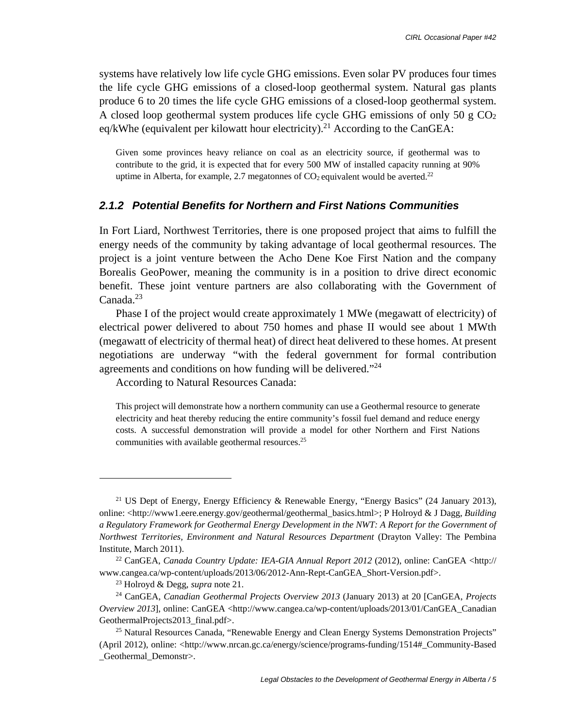systems have relatively low life cycle GHG emissions. Even solar PV produces four times the life cycle GHG emissions of a closed-loop geothermal system. Natural gas plants produce 6 to 20 times the life cycle GHG emissions of a closed-loop geothermal system. A closed loop geothermal system produces life cycle GHG emissions of only 50 g  $CO<sub>2</sub>$ eq/kWhe (equivalent per kilowatt hour electricity).<sup>21</sup> According to the CanGEA:

Given some provinces heavy reliance on coal as an electricity source, if geothermal was to contribute to the grid, it is expected that for every 500 MW of installed capacity running at 90% uptime in Alberta, for example, 2.7 megatonnes of  $CO_2$  equivalent would be averted.<sup>22</sup>

### *2.1.2 Potential Benefits for Northern and First Nations Communities*

In Fort Liard, Northwest Territories, there is one proposed project that aims to fulfill the energy needs of the community by taking advantage of local geothermal resources. The project is a joint venture between the Acho Dene Koe First Nation and the company Borealis GeoPower, meaning the community is in a position to drive direct economic benefit. These joint venture partners are also collaborating with the Government of Canada.<sup>23</sup>

Phase I of the project would create approximately 1 MWe (megawatt of electricity) of electrical power delivered to about 750 homes and phase II would see about 1 MWth (megawatt of electricity of thermal heat) of direct heat delivered to these homes. At present negotiations are underway "with the federal government for formal contribution agreements and conditions on how funding will be delivered."<sup>24</sup>

According to Natural Resources Canada:

This project will demonstrate how a northern community can use a Geothermal resource to generate electricity and heat thereby reducing the entire community's fossil fuel demand and reduce energy costs. A successful demonstration will provide a model for other Northern and First Nations communities with available geothermal resources.<sup>25</sup>

<sup>&</sup>lt;sup>21</sup> US Dept of Energy, Energy Efficiency & Renewable Energy, "Energy Basics" (24 January 2013), online: <http://www1.eere.energy.gov/geothermal/geothermal\_basics.html>; P Holroyd & J Dagg, *Building a Regulatory Framework for Geothermal Energy Development in the NWT: A Report for the Government of Northwest Territories, Environment and Natural Resources Department* (Drayton Valley: The Pembina Institute, March 2011). 22 CanGEA, *Canada Country Update: IEA-GIA Annual Report 2012* (2012), online: CanGEA <http://

www.cangea.ca/wp-content/uploads/2013/06/2012-Ann-Rept-CanGEA\_Short-Version.pdf>.<br><sup>23</sup> Holroyd & Degg, *supra* note 21.<br><sup>24</sup> CanGEA, *Canadian Geothermal Projects Overview 2013* (January 2013) at 20 [CanGEA, *Projects* 

*Overview 2013*], online: CanGEA <http://www.cangea.ca/wp-content/uploads/2013/01/CanGEA\_Canadian GeothermalProjects2013\_final.pdf>.<br><sup>25</sup> Natural Resources Canada, "Renewable Energy and Clean Energy Systems Demonstration Projects"

<sup>(</sup>April 2012), online: <http://www.nrcan.gc.ca/energy/science/programs-funding/1514#\_Community-Based \_Geothermal\_Demonstr>.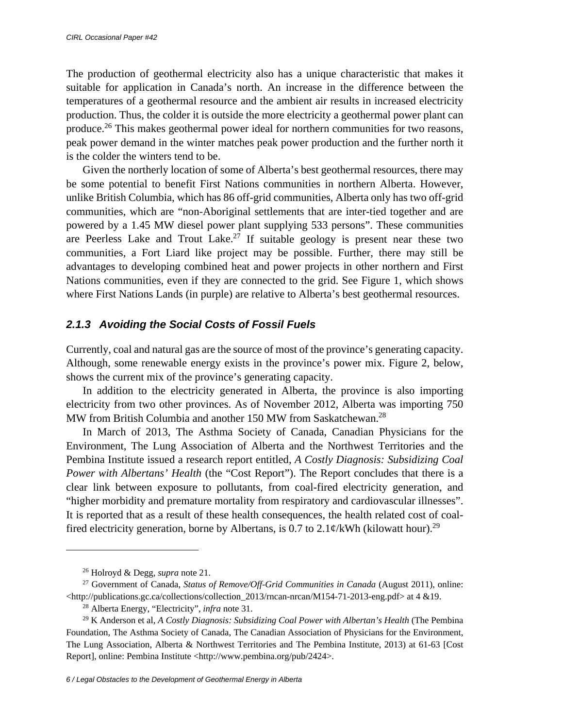The production of geothermal electricity also has a unique characteristic that makes it suitable for application in Canada's north. An increase in the difference between the temperatures of a geothermal resource and the ambient air results in increased electricity production. Thus, the colder it is outside the more electricity a geothermal power plant can produce.26 This makes geothermal power ideal for northern communities for two reasons, peak power demand in the winter matches peak power production and the further north it is the colder the winters tend to be.

Given the northerly location of some of Alberta's best geothermal resources, there may be some potential to benefit First Nations communities in northern Alberta. However, unlike British Columbia, which has 86 off-grid communities, Alberta only has two off-grid communities, which are "non-Aboriginal settlements that are inter-tied together and are powered by a 1.45 MW diesel power plant supplying 533 persons". These communities are Peerless Lake and Trout Lake.<sup>27</sup> If suitable geology is present near these two communities, a Fort Liard like project may be possible. Further, there may still be advantages to developing combined heat and power projects in other northern and First Nations communities, even if they are connected to the grid. See Figure 1, which shows where First Nations Lands (in purple) are relative to Alberta's best geothermal resources.

### *2.1.3 Avoiding the Social Costs of Fossil Fuels*

Currently, coal and natural gas are the source of most of the province's generating capacity. Although, some renewable energy exists in the province's power mix. Figure 2, below, shows the current mix of the province's generating capacity.

In addition to the electricity generated in Alberta, the province is also importing electricity from two other provinces. As of November 2012, Alberta was importing 750 MW from British Columbia and another 150 MW from Saskatchewan.<sup>28</sup>

In March of 2013, The Asthma Society of Canada, Canadian Physicians for the Environment, The Lung Association of Alberta and the Northwest Territories and the Pembina Institute issued a research report entitled, *A Costly Diagnosis: Subsidizing Coal Power with Albertans' Health* (the "Cost Report"). The Report concludes that there is a clear link between exposure to pollutants, from coal-fired electricity generation, and "higher morbidity and premature mortality from respiratory and cardiovascular illnesses". It is reported that as a result of these health consequences, the health related cost of coalfired electricity generation, borne by Albertans, is 0.7 to 2.1 $\phi$ /kWh (kilowatt hour).<sup>29</sup>

<sup>&</sup>lt;sup>26</sup> Holroyd & Degg, *supra* note 21.<br><sup>27</sup> Government of Canada, *Status of Remove/Off-Grid Communities in Canada* (August 2011), online: <http://publications.gc.ca/collections/collection\_2013/rncan-nrcan/M154-71-2013-eng.pdf> at 4 &19. 28 Alberta Energy, "Electricity", *infra* note 31.

<sup>29</sup> K Anderson et al, *A Costly Diagnosis: Subsidizing Coal Power with Albertan's Health* (The Pembina Foundation, The Asthma Society of Canada, The Canadian Association of Physicians for the Environment, The Lung Association, Alberta & Northwest Territories and The Pembina Institute, 2013) at 61-63 [Cost Report], online: Pembina Institute <http://www.pembina.org/pub/2424>.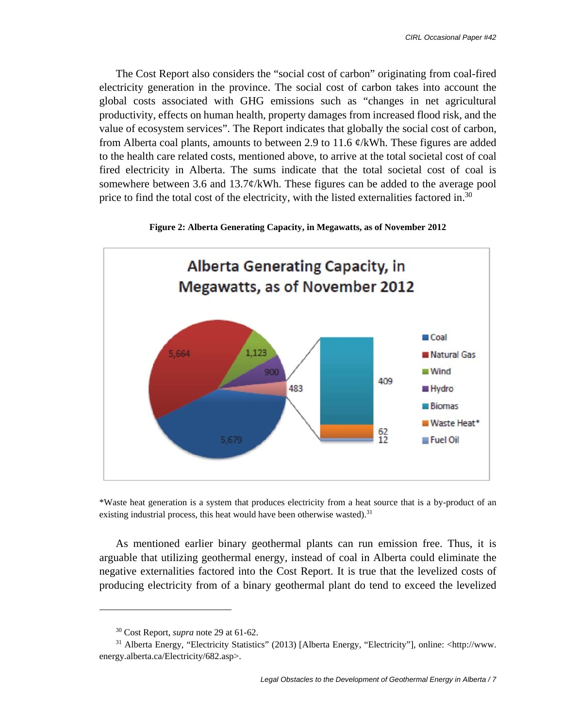The Cost Report also considers the "social cost of carbon" originating from coal-fired electricity generation in the province. The social cost of carbon takes into account the global costs associated with GHG emissions such as "changes in net agricultural productivity, effects on human health, property damages from increased flood risk, and the value of ecosystem services". The Report indicates that globally the social cost of carbon, from Alberta coal plants, amounts to between 2.9 to 11.6  $\mathcal{C}/kWh$ . These figures are added to the health care related costs, mentioned above, to arrive at the total societal cost of coal fired electricity in Alberta. The sums indicate that the total societal cost of coal is somewhere between 3.6 and 13.7¢/kWh. These figures can be added to the average pool price to find the total cost of the electricity, with the listed externalities factored in.<sup>30</sup>



#### **Figure 2: Alberta Generating Capacity, in Megawatts, as of November 2012**

\*Waste heat generation is a system that produces electricity from a heat source that is a by-product of an existing industrial process, this heat would have been otherwise wasted).<sup>31</sup>

As mentioned earlier binary geothermal plants can run emission free. Thus, it is arguable that utilizing geothermal energy, instead of coal in Alberta could eliminate the negative externalities factored into the Cost Report. It is true that the levelized costs of producing electricity from of a binary geothermal plant do tend to exceed the levelized

1

<sup>&</sup>lt;sup>30</sup> Cost Report, *supra* note 29 at 61-62.<br><sup>31</sup> Alberta Energy, "Electricity Statistics" (2013) [Alberta Energy, "Electricity"], online: <http://www. energy.alberta.ca/Electricity/682.asp>.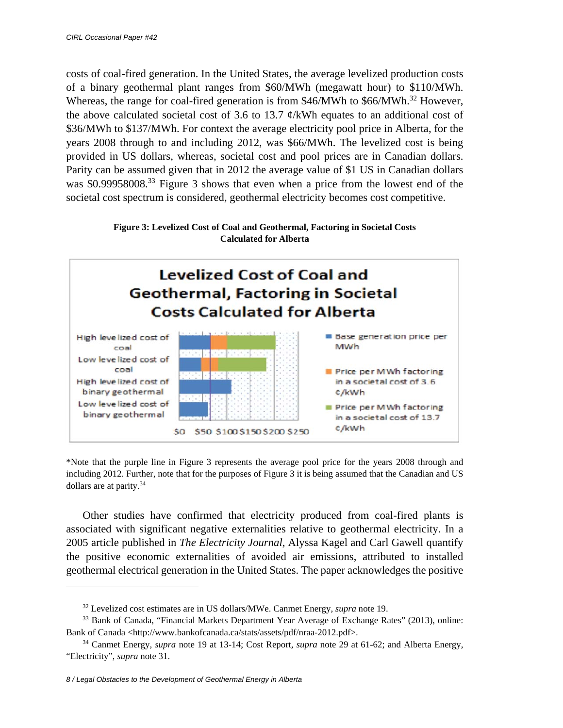costs of coal-fired generation. In the United States, the average levelized production costs of a binary geothermal plant ranges from \$60/MWh (megawatt hour) to \$110/MWh. Whereas, the range for coal-fired generation is from  $$46/MWh$  to  $$66/MWh.<sup>32</sup>$  However, the above calculated societal cost of 3.6 to 13.7  $\ell$ /kWh equates to an additional cost of \$36/MWh to \$137/MWh. For context the average electricity pool price in Alberta, for the years 2008 through to and including 2012, was \$66/MWh. The levelized cost is being provided in US dollars, whereas, societal cost and pool prices are in Canadian dollars. Parity can be assumed given that in 2012 the average value of \$1 US in Canadian dollars was \$0.99958008.<sup>33</sup> Figure 3 shows that even when a price from the lowest end of the societal cost spectrum is considered, geothermal electricity becomes cost competitive.





\*Note that the purple line in Figure 3 represents the average pool price for the years 2008 through and including 2012. Further, note that for the purposes of Figure 3 it is being assumed that the Canadian and US dollars are at parity.34

Other studies have confirmed that electricity produced from coal-fired plants is associated with significant negative externalities relative to geothermal electricity. In a 2005 article published in *The Electricity Journal*, Alyssa Kagel and Carl Gawell quantify the positive economic externalities of avoided air emissions, attributed to installed geothermal electrical generation in the United States. The paper acknowledges the positive

<sup>&</sup>lt;sup>32</sup> Levelized cost estimates are in US dollars/MWe. Canmet Energy, *supra* note 19.<br><sup>33</sup> Bank of Canada, "Financial Markets Department Year Average of Exchange Rates" (2013), online: Bank of Canada <http://www.bankofcanada.ca/stats/assets/pdf/nraa-2012.pdf>. 34 Canmet Energy, *supra* note 19 at 13-14; Cost Report, *supra* note 29 at 61-62; and Alberta Energy,

<sup>&</sup>quot;Electricity", *supra* note 31.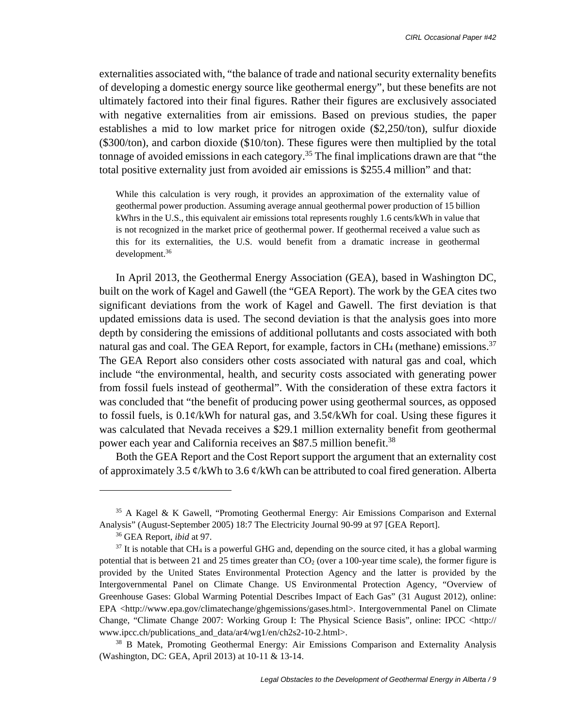externalities associated with, "the balance of trade and national security externality benefits of developing a domestic energy source like geothermal energy", but these benefits are not ultimately factored into their final figures. Rather their figures are exclusively associated with negative externalities from air emissions. Based on previous studies, the paper establishes a mid to low market price for nitrogen oxide (\$2,250/ton), sulfur dioxide (\$300/ton), and carbon dioxide (\$10/ton). These figures were then multiplied by the total tonnage of avoided emissions in each category.<sup>35</sup> The final implications drawn are that "the total positive externality just from avoided air emissions is \$255.4 million" and that:

While this calculation is very rough, it provides an approximation of the externality value of geothermal power production. Assuming average annual geothermal power production of 15 billion kWhrs in the U.S., this equivalent air emissions total represents roughly 1.6 cents/kWh in value that is not recognized in the market price of geothermal power. If geothermal received a value such as this for its externalities, the U.S. would benefit from a dramatic increase in geothermal development.<sup>36</sup>

In April 2013, the Geothermal Energy Association (GEA), based in Washington DC, built on the work of Kagel and Gawell (the "GEA Report). The work by the GEA cites two significant deviations from the work of Kagel and Gawell. The first deviation is that updated emissions data is used. The second deviation is that the analysis goes into more depth by considering the emissions of additional pollutants and costs associated with both natural gas and coal. The GEA Report, for example, factors in CH<sub>4</sub> (methane) emissions.<sup>37</sup> The GEA Report also considers other costs associated with natural gas and coal, which include "the environmental, health, and security costs associated with generating power from fossil fuels instead of geothermal". With the consideration of these extra factors it was concluded that "the benefit of producing power using geothermal sources, as opposed to fossil fuels, is  $0.1\ell/kWh$  for natural gas, and  $3.5\ell/kWh$  for coal. Using these figures it was calculated that Nevada receives a \$29.1 million externality benefit from geothermal power each year and California receives an \$87.5 million benefit.<sup>38</sup>

Both the GEA Report and the Cost Report support the argument that an externality cost of approximately 3.5  $\phi$ /kWh to 3.6  $\phi$ /kWh can be attributed to coal fired generation. Alberta

<sup>35</sup> A Kagel & K Gawell, "Promoting Geothermal Energy: Air Emissions Comparison and External Analysis" (August-September 2005) 18:7 The Electricity Journal 90-99 at 97 [GEA Report].<br><sup>36</sup> GEA Report, *ibid* at 97.<br><sup>37</sup> It is notable that CH<sub>4</sub> is a powerful GHG and, depending on the source cited, it has a global w

potential that is between 21 and 25 times greater than  $CO<sub>2</sub>$  (over a 100-year time scale), the former figure is provided by the United States Environmental Protection Agency and the latter is provided by the Intergovernmental Panel on Climate Change. US Environmental Protection Agency, "Overview of Greenhouse Gases: Global Warming Potential Describes Impact of Each Gas" (31 August 2012), online: EPA <http://www.epa.gov/climatechange/ghgemissions/gases.html>. Intergovernmental Panel on Climate Change, "Climate Change 2007: Working Group I: The Physical Science Basis", online: IPCC <http:// www.ipcc.ch/publications\_and\_data/ar4/wg1/en/ch2s2-10-2.html>.<br><sup>38</sup> B Matek, Promoting Geothermal Energy: Air Emissions Comparison and Externality Analysis

<sup>(</sup>Washington, DC: GEA, April 2013) at 10-11 & 13-14.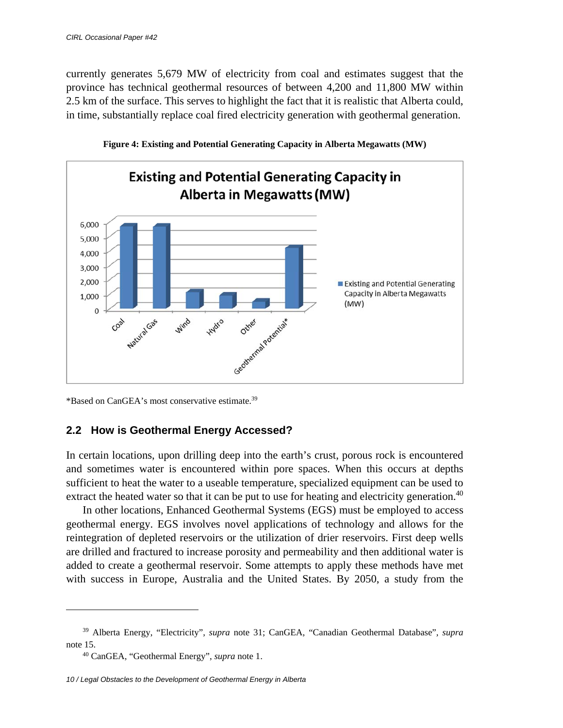currently generates 5,679 MW of electricity from coal and estimates suggest that the province has technical geothermal resources of between 4,200 and 11,800 MW within 2.5 km of the surface. This serves to highlight the fact that it is realistic that Alberta could, in time, substantially replace coal fired electricity generation with geothermal generation.





\*Based on CanGEA's most conservative estimate.39

## **2.2 How is Geothermal Energy Accessed?**

In certain locations, upon drilling deep into the earth's crust, porous rock is encountered and sometimes water is encountered within pore spaces. When this occurs at depths sufficient to heat the water to a useable temperature, specialized equipment can be used to extract the heated water so that it can be put to use for heating and electricity generation.<sup>40</sup>

In other locations, Enhanced Geothermal Systems (EGS) must be employed to access geothermal energy. EGS involves novel applications of technology and allows for the reintegration of depleted reservoirs or the utilization of drier reservoirs. First deep wells are drilled and fractured to increase porosity and permeability and then additional water is added to create a geothermal reservoir. Some attempts to apply these methods have met with success in Europe, Australia and the United States. By 2050, a study from the

1

<sup>39</sup> Alberta Energy, "Electricity", *supra* note 31; CanGEA, "Canadian Geothermal Database", *supra* note 15. 40 CanGEA, "Geothermal Energy", *supra* note 1.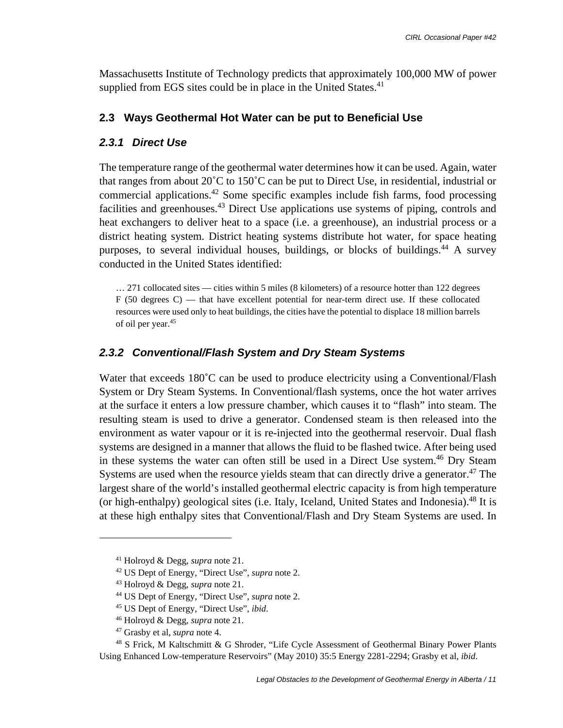Massachusetts Institute of Technology predicts that approximately 100,000 MW of power supplied from EGS sites could be in place in the United States. $41$ 

### **2.3 Ways Geothermal Hot Water can be put to Beneficial Use**

### *2.3.1 Direct Use*

The temperature range of the geothermal water determines how it can be used. Again, water that ranges from about 20˚C to 150˚C can be put to Direct Use, in residential, industrial or commercial applications.<sup>42</sup> Some specific examples include fish farms, food processing facilities and greenhouses.<sup>43</sup> Direct Use applications use systems of piping, controls and heat exchangers to deliver heat to a space (i.e. a greenhouse), an industrial process or a district heating system. District heating systems distribute hot water, for space heating purposes, to several individual houses, buildings, or blocks of buildings.<sup>44</sup> A survey conducted in the United States identified:

… 271 collocated sites — cities within 5 miles (8 kilometers) of a resource hotter than 122 degrees F (50 degrees C) — that have excellent potential for near-term direct use. If these collocated resources were used only to heat buildings, the cities have the potential to displace 18 million barrels of oil per year.45

### *2.3.2 Conventional/Flash System and Dry Steam Systems*

Water that exceeds 180<sup>°</sup>C can be used to produce electricity using a Conventional/Flash System or Dry Steam Systems. In Conventional/flash systems, once the hot water arrives at the surface it enters a low pressure chamber, which causes it to "flash" into steam. The resulting steam is used to drive a generator. Condensed steam is then released into the environment as water vapour or it is re-injected into the geothermal reservoir. Dual flash systems are designed in a manner that allows the fluid to be flashed twice. After being used in these systems the water can often still be used in a Direct Use system.<sup>46</sup> Drv Steam Systems are used when the resource yields steam that can directly drive a generator.<sup>47</sup> The largest share of the world's installed geothermal electric capacity is from high temperature (or high-enthalpy) geological sites (i.e. Italy, Iceland, United States and Indonesia).<sup>48</sup> It is at these high enthalpy sites that Conventional/Flash and Dry Steam Systems are used. In

1

<sup>41</sup> Holroyd & Degg, *supra* note 21.<br><sup>42</sup> US Dept of Energy, "Direct Use", *supra* note 2.<br><sup>43</sup> Holroyd & Degg, *supra* note 21.<br><sup>44</sup> US Dept of Energy, "Direct Use", *supra* note 2.<br><sup>45</sup> US Dept of Energy, "Direct Use", Using Enhanced Low-temperature Reservoirs" (May 2010) 35:5 Energy 2281-2294; Grasby et al, *ibid*.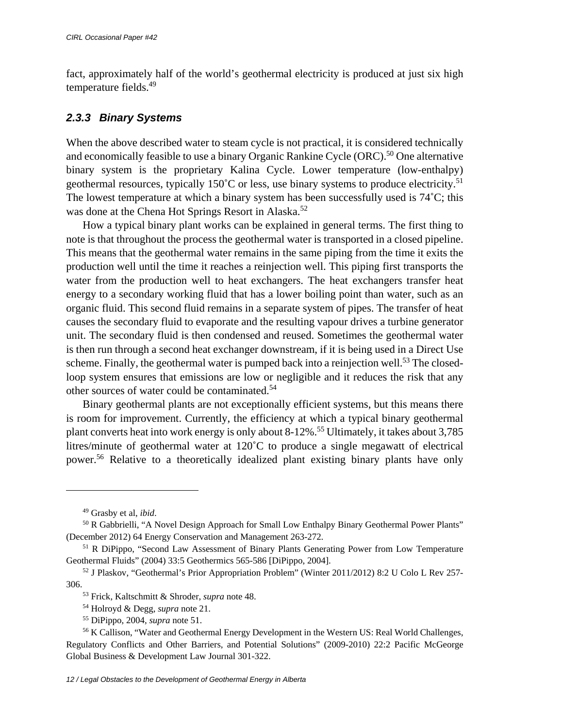fact, approximately half of the world's geothermal electricity is produced at just six high temperature fields.<sup>49</sup>

### *2.3.3 Binary Systems*

When the above described water to steam cycle is not practical, it is considered technically and economically feasible to use a binary Organic Rankine Cycle (ORC).<sup>50</sup> One alternative binary system is the proprietary Kalina Cycle. Lower temperature (low-enthalpy) geothermal resources, typically  $150^{\circ}$ C or less, use binary systems to produce electricity.<sup>51</sup> The lowest temperature at which a binary system has been successfully used is 74˚C; this was done at the Chena Hot Springs Resort in Alaska.<sup>52</sup>

How a typical binary plant works can be explained in general terms. The first thing to note is that throughout the process the geothermal water is transported in a closed pipeline. This means that the geothermal water remains in the same piping from the time it exits the production well until the time it reaches a reinjection well. This piping first transports the water from the production well to heat exchangers. The heat exchangers transfer heat energy to a secondary working fluid that has a lower boiling point than water, such as an organic fluid. This second fluid remains in a separate system of pipes. The transfer of heat causes the secondary fluid to evaporate and the resulting vapour drives a turbine generator unit. The secondary fluid is then condensed and reused. Sometimes the geothermal water is then run through a second heat exchanger downstream, if it is being used in a Direct Use scheme. Finally, the geothermal water is pumped back into a reinjection well.<sup>53</sup> The closedloop system ensures that emissions are low or negligible and it reduces the risk that any other sources of water could be contaminated.54

Binary geothermal plants are not exceptionally efficient systems, but this means there is room for improvement. Currently, the efficiency at which a typical binary geothermal plant converts heat into work energy is only about 8-12%.55 Ultimately, it takes about 3,785 litres/minute of geothermal water at 120˚C to produce a single megawatt of electrical power.56 Relative to a theoretically idealized plant existing binary plants have only

<sup>&</sup>lt;sup>49</sup> Grasby et al, *ibid*.<br><sup>50</sup> R Gabbrielli, "A Novel Design Approach for Small Low Enthalpy Binary Geothermal Power Plants" (December 2012) 64 Energy Conservation and Management 263-272. 51 R DiPippo, "Second Law Assessment of Binary Plants Generating Power from Low Temperature

Geothermal Fluids" (2004) 33:5 Geothermics 565-586 [DiPippo, 2004].<br><sup>52</sup> J Plaskov, "Geothermal's Prior Appropriation Problem" (Winter 2011/2012) 8:2 U Colo L Rev 257-

<sup>306.&</sup>lt;br>
<sup>53</sup> Frick, Kaltschmitt & Shroder, *supra* note 48.<br>
<sup>54</sup> Holroyd & Degg, *supra* note 21.<br>
<sup>55</sup> DiPippo, 2004, *supra* note 51.<br>
<sup>56</sup> K Callison, "Water and Geothermal Energy Development in the Western US: Real Wor Regulatory Conflicts and Other Barriers, and Potential Solutions" (2009-2010) 22:2 Pacific McGeorge Global Business & Development Law Journal 301-322.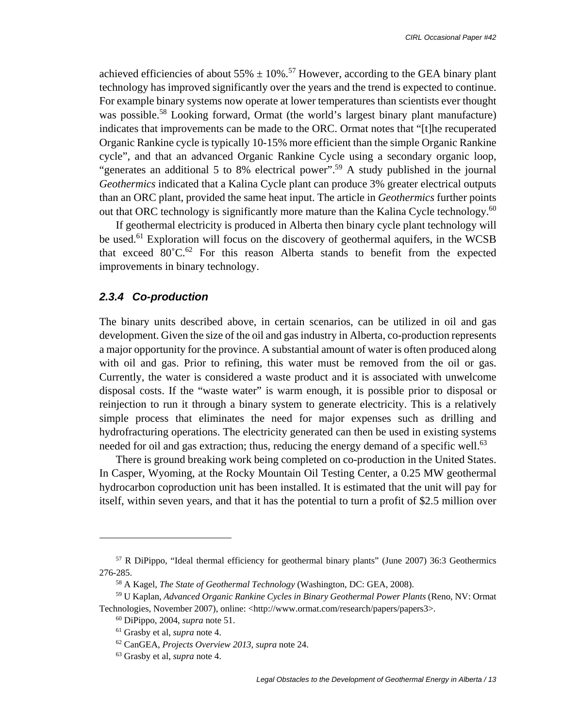achieved efficiencies of about 55%  $\pm$  10%.<sup>57</sup> However, according to the GEA binary plant technology has improved significantly over the years and the trend is expected to continue. For example binary systems now operate at lower temperatures than scientists ever thought was possible.<sup>58</sup> Looking forward, Ormat (the world's largest binary plant manufacture) indicates that improvements can be made to the ORC. Ormat notes that "[t]he recuperated Organic Rankine cycle is typically 10-15% more efficient than the simple Organic Rankine cycle", and that an advanced Organic Rankine Cycle using a secondary organic loop, "generates an additional 5 to 8% electrical power".<sup>59</sup> A study published in the journal *Geothermics* indicated that a Kalina Cycle plant can produce 3% greater electrical outputs than an ORC plant, provided the same heat input. The article in *Geothermics* further points out that ORC technology is significantly more mature than the Kalina Cycle technology.<sup>60</sup>

If geothermal electricity is produced in Alberta then binary cycle plant technology will be used.<sup>61</sup> Exploration will focus on the discovery of geothermal aquifers, in the WCSB that exceed  $80^{\circ}$ C.<sup>62</sup> For this reason Alberta stands to benefit from the expected improvements in binary technology.

#### *2.3.4 Co-production*

The binary units described above, in certain scenarios, can be utilized in oil and gas development. Given the size of the oil and gas industry in Alberta, co-production represents a major opportunity for the province. A substantial amount of water is often produced along with oil and gas. Prior to refining, this water must be removed from the oil or gas. Currently, the water is considered a waste product and it is associated with unwelcome disposal costs. If the "waste water" is warm enough, it is possible prior to disposal or reinjection to run it through a binary system to generate electricity. This is a relatively simple process that eliminates the need for major expenses such as drilling and hydrofracturing operations. The electricity generated can then be used in existing systems needed for oil and gas extraction; thus, reducing the energy demand of a specific well.<sup>63</sup>

There is ground breaking work being completed on co-production in the United States. In Casper, Wyoming, at the Rocky Mountain Oil Testing Center, a 0.25 MW geothermal hydrocarbon coproduction unit has been installed. It is estimated that the unit will pay for itself, within seven years, and that it has the potential to turn a profit of \$2.5 million over

<sup>57</sup> R DiPippo, "Ideal thermal efficiency for geothermal binary plants" (June 2007) 36:3 Geothermics 276-285. 58 A Kagel, *The State of Geothermal Technology* (Washington, DC: GEA, 2008).

<sup>59</sup> U Kaplan, *Advanced Organic Rankine Cycles in Binary Geothermal Power Plants* (Reno, NV: Ormat Technologies, November 2007), online: <http://www.ormat.com/research/papers/papers3>.<br>
<sup>60</sup> DiPippo, 2004, *supra* note 51.<br>
<sup>61</sup> Grasby et al, *supra* note 4.<br>
<sup>62</sup> CanGEA, *Projects Overview 2013*, *supra* note 24.<br>
<sup>63</sup>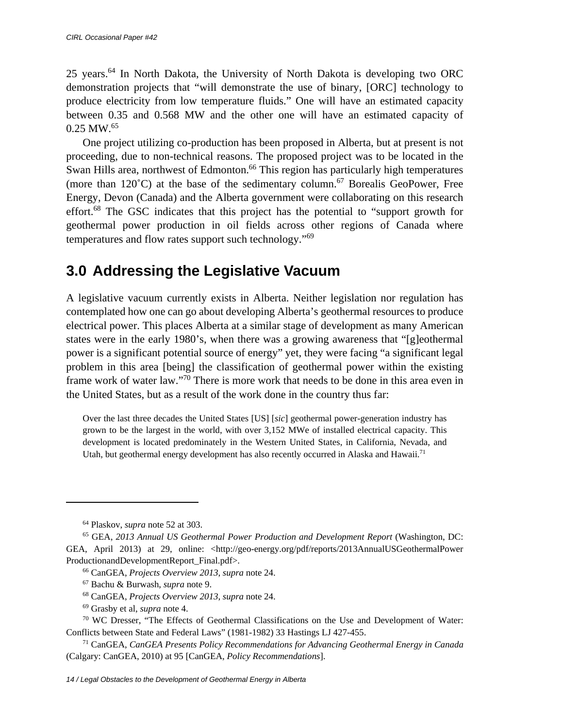25 years.64 In North Dakota, the University of North Dakota is developing two ORC demonstration projects that "will demonstrate the use of binary, [ORC] technology to produce electricity from low temperature fluids." One will have an estimated capacity between 0.35 and 0.568 MW and the other one will have an estimated capacity of  $0.25$  MW.  $^{65}$ 

One project utilizing co-production has been proposed in Alberta, but at present is not proceeding, due to non-technical reasons. The proposed project was to be located in the Swan Hills area, northwest of Edmonton.<sup>66</sup> This region has particularly high temperatures (more than  $120^{\circ}$ C) at the base of the sedimentary column.<sup>67</sup> Borealis GeoPower, Free Energy, Devon (Canada) and the Alberta government were collaborating on this research effort.68 The GSC indicates that this project has the potential to "support growth for geothermal power production in oil fields across other regions of Canada where temperatures and flow rates support such technology."<sup>69</sup>

# **3.0 Addressing the Legislative Vacuum**

A legislative vacuum currently exists in Alberta. Neither legislation nor regulation has contemplated how one can go about developing Alberta's geothermal resources to produce electrical power. This places Alberta at a similar stage of development as many American states were in the early 1980's, when there was a growing awareness that "[g]eothermal power is a significant potential source of energy" yet, they were facing "a significant legal problem in this area [being] the classification of geothermal power within the existing frame work of water law."70 There is more work that needs to be done in this area even in the United States, but as a result of the work done in the country thus far:

Over the last three decades the United States [US] [*sic*] geothermal power-generation industry has grown to be the largest in the world, with over 3,152 MWe of installed electrical capacity. This development is located predominately in the Western United States, in California, Nevada, and Utah, but geothermal energy development has also recently occurred in Alaska and Hawaii.<sup>71</sup>

 $\overline{a}$ 

- 
- 

(Calgary: CanGEA, 2010) at 95 [CanGEA, *Policy Recommendations*].

<sup>&</sup>lt;sup>64</sup> Plaskov, *supra* note 52 at 303.<br><sup>65</sup> GEA, 2013 Annual US Geothermal Power Production and Development Report (Washington, DC: GEA, April 2013) at 29, online: <http://geo-energy.org/pdf/reports/2013AnnualUSGeothermalPower ProductionandDevelopmentReport\_Final.pdf>.<br>
<sup>66</sup> CanGEA, *Projects Overview 2013*, *supra* note 24.<br>
<sup>67</sup> Bachu & Burwash, *supra* note 9.<br>
<sup>68</sup> CanGEA, *Projects Overview 2013*, *supra* note 24.<br>
<sup>69</sup> Grasby et al, *supra* 

Conflicts between State and Federal Laws" (1981-1982) 33 Hastings LJ 427-455. 71 CanGEA, *CanGEA Presents Policy Recommendations for Advancing Geothermal Energy in Canada*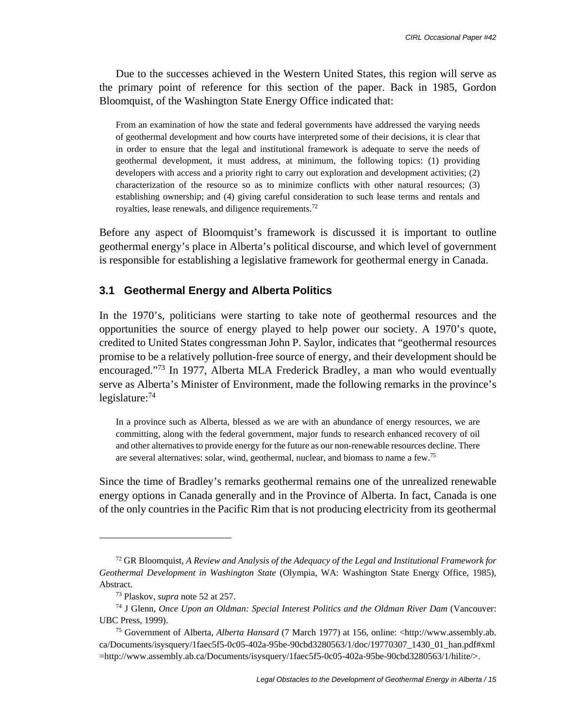Due to the successes achieved in the Western United States, this region will serve as the primary point of reference for this section of the paper. Back in 1985, Gordon Bloomquist, of the Washington State Energy Office indicated that:

From an examination of how the state and federal governments have addressed the varying needs of geothermal development and how courts have interpreted some of their decisions, it is clear that in order to ensure that the legal and institutional framework is adequate to serve the needs of geothermal development, it must address, at minimum, the following topics: (1) providing developers with access and a priority right to carry out exploration and development activities; (2) characterization of the resource so as to minimize conflicts with other natural resources; (3) establishing ownership; and (4) giving careful consideration to such lease terms and rentals and royalties, lease renewals, and diligence requirements.72

Before any aspect of Bloomquist's framework is discussed it is important to outline geothermal energy's place in Alberta's political discourse, and which level of government is responsible for establishing a legislative framework for geothermal energy in Canada.

### **3.1 Geothermal Energy and Alberta Politics**

In the 1970's, politicians were starting to take note of geothermal resources and the opportunities the source of energy played to help power our society. A 1970's quote, credited to United States congressman John P. Saylor, indicates that "geothermal resources promise to be a relatively pollution-free source of energy, and their development should be encouraged."73 In 1977, Alberta MLA Frederick Bradley, a man who would eventually serve as Alberta's Minister of Environment, made the following remarks in the province's legislature:74

In a province such as Alberta, blessed as we are with an abundance of energy resources, we are committing, along with the federal government, major funds to research enhanced recovery of oil and other alternatives to provide energy for the future as our non-renewable resources decline. There are several alternatives: solar, wind, geothermal, nuclear, and biomass to name a few.75

Since the time of Bradley's remarks geothermal remains one of the unrealized renewable energy options in Canada generally and in the Province of Alberta. In fact, Canada is one of the only countries in the Pacific Rim that is not producing electricity from its geothermal

<sup>72</sup> GR Bloomquist, *A Review and Analysis of the Adequacy of the Legal and Institutional Framework for Geothermal Development in Washington State* (Olympia, WA: Washington State Energy Office, 1985), Abstract.<br><sup>73</sup> Plaskov, *supra* note 52 at 257.<br><sup>74</sup> J Glenn, *Once Upon an Oldman: Special Interest Politics and the Oldman River Dam* (Vancouver:

UBC Press, 1999). 75 Government of Alberta, *Alberta Hansard* (7 March 1977) at 156, online: <http://www.assembly.ab. ca/Documents/isysquery/1faec5f5-0c05-402a-95be-90cbd3280563/1/doc/19770307\_1430\_01\_han.pdf#xml =http://www.assembly.ab.ca/Documents/isysquery/1faec5f5-0c05-402a-95be-90cbd3280563/1/hilite/>.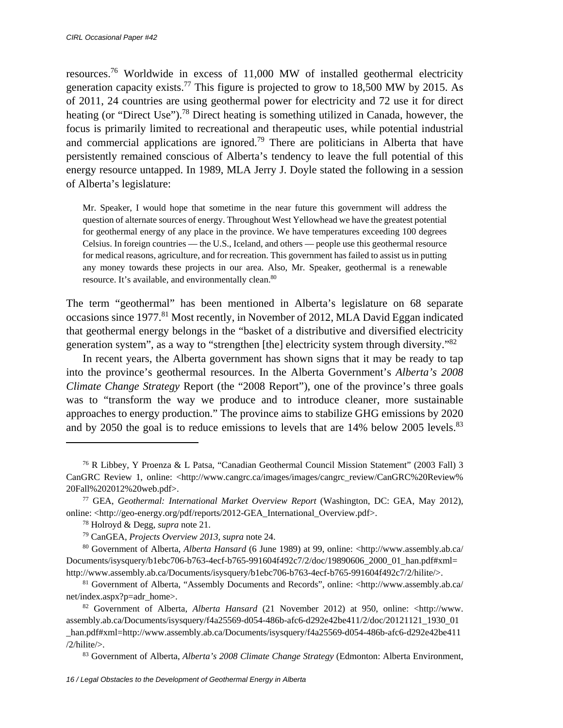resources.76 Worldwide in excess of 11,000 MW of installed geothermal electricity generation capacity exists.<sup>77</sup> This figure is projected to grow to  $18,500$  MW by 2015. As of 2011, 24 countries are using geothermal power for electricity and 72 use it for direct heating (or "Direct Use").<sup>78</sup> Direct heating is something utilized in Canada, however, the focus is primarily limited to recreational and therapeutic uses, while potential industrial and commercial applications are ignored.<sup>79</sup> There are politicians in Alberta that have persistently remained conscious of Alberta's tendency to leave the full potential of this energy resource untapped. In 1989, MLA Jerry J. Doyle stated the following in a session of Alberta's legislature:

Mr. Speaker, I would hope that sometime in the near future this government will address the question of alternate sources of energy. Throughout West Yellowhead we have the greatest potential for geothermal energy of any place in the province. We have temperatures exceeding 100 degrees Celsius. In foreign countries — the U.S., Iceland, and others — people use this geothermal resource for medical reasons, agriculture, and for recreation. This government has failed to assist us in putting any money towards these projects in our area. Also, Mr. Speaker, geothermal is a renewable resource. It's available, and environmentally clean.<sup>80</sup>

The term "geothermal" has been mentioned in Alberta's legislature on 68 separate occasions since 1977.81 Most recently, in November of 2012, MLA David Eggan indicated that geothermal energy belongs in the "basket of a distributive and diversified electricity generation system", as a way to "strengthen [the] electricity system through diversity."<sup>82</sup>

In recent years, the Alberta government has shown signs that it may be ready to tap into the province's geothermal resources. In the Alberta Government's *Alberta's 2008 Climate Change Strategy* Report (the "2008 Report"), one of the province's three goals was to "transform the way we produce and to introduce cleaner, more sustainable approaches to energy production." The province aims to stabilize GHG emissions by 2020 and by 2050 the goal is to reduce emissions to levels that are  $14\%$  below 2005 levels.<sup>83</sup>

1

<sup>76</sup> R Libbey, Y Proenza & L Patsa, "Canadian Geothermal Council Mission Statement" (2003 Fall) 3 CanGRC Review 1, online: <http://www.cangrc.ca/images/images/cangrc\_review/CanGRC%20Review% 20Fall%202012%20web.pdf>. 77 GEA, *Geothermal: International Market Overview Report* (Washington, DC: GEA, May 2012),

online: <http://geo-energy.org/pdf/reports/2012-GEA\_International\_Overview.pdf>.<br><sup>78</sup> Holroyd & Degg, *supra* note 21.<br><sup>79</sup> CanGEA, *Projects Overview 2013, supra* note 24.<br><sup>80</sup> Government of Alberta, *Alberta Hansard* (6

Documents/isysquery/b1ebc706-b763-4ecf-b765-991604f492c7/2/doc/19890606\_2000\_01\_han.pdf#xml= http://www.assembly.ab.ca/Documents/isysquery/b1ebc706-b763-4ecf-b765-991604f492c7/2/hilite/>.<br><sup>81</sup> Government of Alberta, "Assembly Documents and Records", online: <http://www.assembly.ab.ca/

net/index.aspx?p=adr\_home>. 82 Government of Alberta, *Alberta Hansard* (21 November 2012) at 950, online: <http://www.

assembly.ab.ca/Documents/isysquery/f4a25569-d054-486b-afc6-d292e42be411/2/doc/20121121\_1930\_01 \_han.pdf#xml=http://www.assembly.ab.ca/Documents/isysquery/f4a25569-d054-486b-afc6-d292e42be411 /2/hilite/>. 83 Government of Alberta, *Alberta's 2008 Climate Change Strategy* (Edmonton: Alberta Environment,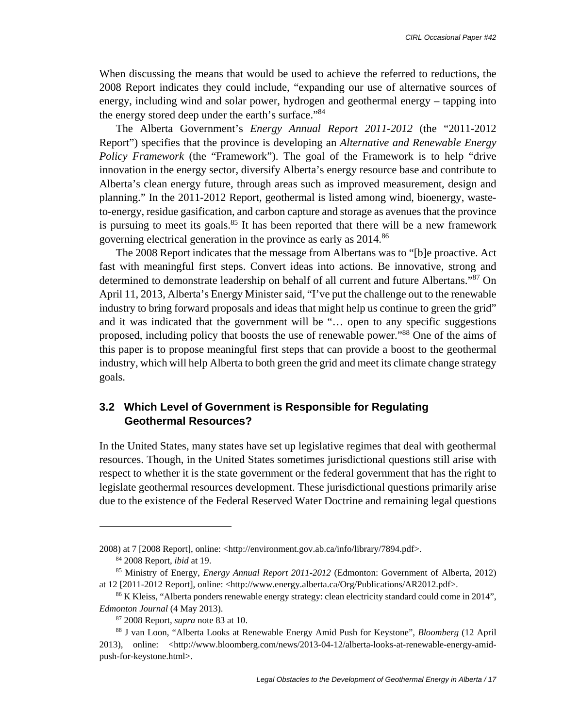When discussing the means that would be used to achieve the referred to reductions, the 2008 Report indicates they could include, "expanding our use of alternative sources of energy, including wind and solar power, hydrogen and geothermal energy – tapping into the energy stored deep under the earth's surface."<sup>84</sup>

The Alberta Government's *Energy Annual Report 2011-2012* (the "2011-2012 Report") specifies that the province is developing an *Alternative and Renewable Energy Policy Framework* (the "Framework"). The goal of the Framework is to help "drive innovation in the energy sector, diversify Alberta's energy resource base and contribute to Alberta's clean energy future, through areas such as improved measurement, design and planning." In the 2011-2012 Report, geothermal is listed among wind, bioenergy, wasteto-energy, residue gasification, and carbon capture and storage as avenues that the province is pursuing to meet its goals.<sup>85</sup> It has been reported that there will be a new framework governing electrical generation in the province as early as 2014.<sup>86</sup>

The 2008 Report indicates that the message from Albertans was to "[b]e proactive. Act fast with meaningful first steps. Convert ideas into actions. Be innovative, strong and determined to demonstrate leadership on behalf of all current and future Albertans."<sup>87</sup> On April 11, 2013, Alberta's Energy Minister said, "I've put the challenge out to the renewable industry to bring forward proposals and ideas that might help us continue to green the grid" and it was indicated that the government will be "… open to any specific suggestions proposed, including policy that boosts the use of renewable power."88 One of the aims of this paper is to propose meaningful first steps that can provide a boost to the geothermal industry, which will help Alberta to both green the grid and meet its climate change strategy goals.

## **3.2 Which Level of Government is Responsible for Regulating Geothermal Resources?**

In the United States, many states have set up legislative regimes that deal with geothermal resources. Though, in the United States sometimes jurisdictional questions still arise with respect to whether it is the state government or the federal government that has the right to legislate geothermal resources development. These jurisdictional questions primarily arise due to the existence of the Federal Reserved Water Doctrine and remaining legal questions

1

<sup>2008)</sup> at 7 [2008 Report], online: <http://environment.gov.ab.ca/info/library/7894.pdf>. 84 2008 Report, *ibid* at 19. 85 Ministry of Energy, *Energy Annual Report 2011-2012* (Edmonton: Government of Alberta, 2012) at 12 [2011-2012 Report], online: <http://www.energy.alberta.ca/Org/Publications/AR2012.pdf>. 86 K Kleiss, "Alberta ponders renewable energy strategy: clean electricity standard could come in 2014",

*Edmonton Journal* (4 May 2013). 87 2008 Report, *supra* note 83 at 10. 88 J van Loon, "Alberta Looks at Renewable Energy Amid Push for Keystone", *Bloomberg* (12 April

<sup>2013),</sup> online: <http://www.bloomberg.com/news/2013-04-12/alberta-looks-at-renewable-energy-amidpush-for-keystone.html>.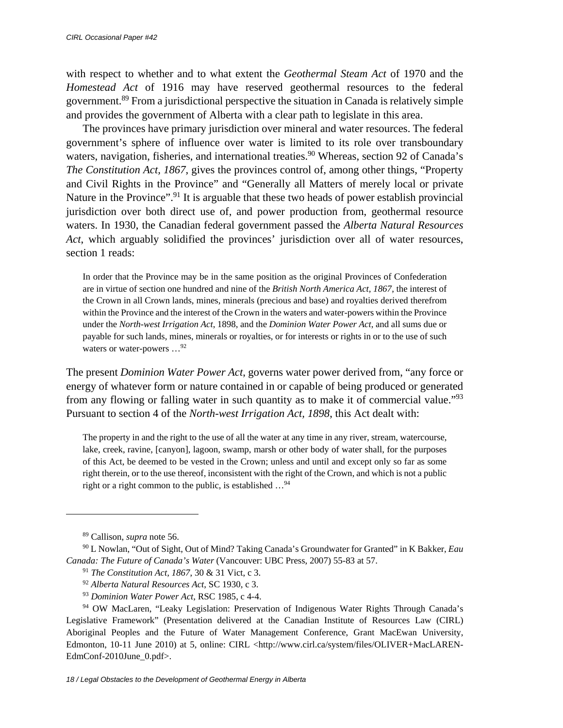with respect to whether and to what extent the *Geothermal Steam Act* of 1970 and the *Homestead Act* of 1916 may have reserved geothermal resources to the federal government.89 From a jurisdictional perspective the situation in Canada is relatively simple and provides the government of Alberta with a clear path to legislate in this area.

The provinces have primary jurisdiction over mineral and water resources. The federal government's sphere of influence over water is limited to its role over transboundary waters, navigation, fisheries, and international treaties.<sup>90</sup> Whereas, section 92 of Canada's *The Constitution Act, 1867*, gives the provinces control of, among other things, "Property and Civil Rights in the Province" and "Generally all Matters of merely local or private Nature in the Province".<sup>91</sup> It is arguable that these two heads of power establish provincial jurisdiction over both direct use of, and power production from, geothermal resource waters. In 1930, the Canadian federal government passed the *Alberta Natural Resources Act*, which arguably solidified the provinces' jurisdiction over all of water resources, section 1 reads:

In order that the Province may be in the same position as the original Provinces of Confederation are in virtue of section one hundred and nine of the *British North America Act, 1867*, the interest of the Crown in all Crown lands, mines, minerals (precious and base) and royalties derived therefrom within the Province and the interest of the Crown in the waters and water-powers within the Province under the *North-west Irrigation Act*, 1898, and the *Dominion Water Power Act*, and all sums due or payable for such lands, mines, minerals or royalties, or for interests or rights in or to the use of such waters or water-powers ...<sup>92</sup>

The present *Dominion Water Power Act*, governs water power derived from, "any force or energy of whatever form or nature contained in or capable of being produced or generated from any flowing or falling water in such quantity as to make it of commercial value."<sup>93</sup> Pursuant to section 4 of the *North-west Irrigation Act, 1898*, this Act dealt with:

The property in and the right to the use of all the water at any time in any river, stream, watercourse, lake, creek, ravine, [canyon], lagoon, swamp, marsh or other body of water shall, for the purposes of this Act, be deemed to be vested in the Crown; unless and until and except only so far as some right therein, or to the use thereof, inconsistent with the right of the Crown, and which is not a public right or a right common to the public, is established …94

<sup>89</sup> Callison, *supra* note 56.

<sup>90</sup> L Nowlan, "Out of Sight, Out of Mind? Taking Canada's Groundwater for Granted" in K Bakker, *Eau Canada: The Future of Canada's Water* (Vancouver: UBC Press, 2007) 55-83 at 57.

<sup>91</sup> *The Constitution Act, 1867*, 30 & 31 Vict, c 3.

<sup>92</sup> *Alberta Natural Resources Act*, SC 1930, c 3.

<sup>93</sup> *Dominion Water Power Act*, RSC 1985, c 4-4.

<sup>94</sup> OW MacLaren, "Leaky Legislation: Preservation of Indigenous Water Rights Through Canada's Legislative Framework" (Presentation delivered at the Canadian Institute of Resources Law (CIRL) Aboriginal Peoples and the Future of Water Management Conference, Grant MacEwan University, Edmonton, 10-11 June 2010) at 5, online: CIRL <http://www.cirl.ca/system/files/OLIVER+MacLAREN-EdmConf-2010June\_0.pdf>.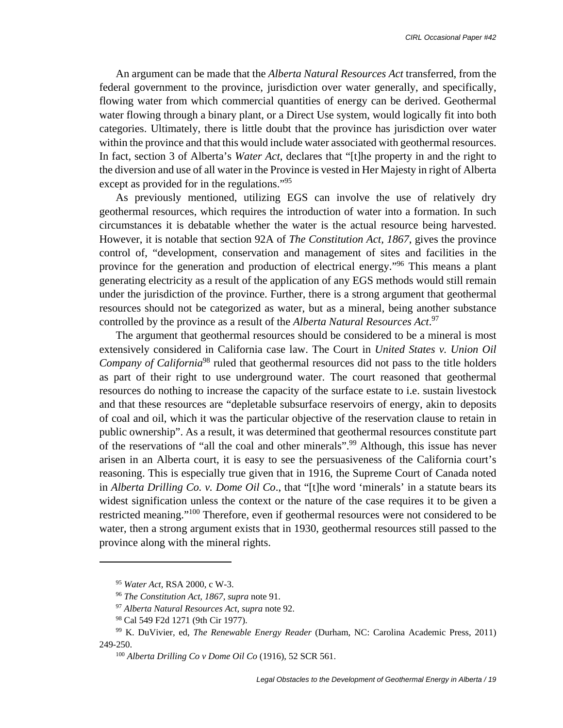An argument can be made that the *Alberta Natural Resources Act* transferred, from the federal government to the province, jurisdiction over water generally, and specifically, flowing water from which commercial quantities of energy can be derived. Geothermal water flowing through a binary plant, or a Direct Use system, would logically fit into both categories. Ultimately, there is little doubt that the province has jurisdiction over water within the province and that this would include water associated with geothermal resources. In fact, section 3 of Alberta's *Water Act*, declares that "[t]he property in and the right to the diversion and use of all water in the Province is vested in Her Majesty in right of Alberta except as provided for in the regulations."<sup>95</sup>

As previously mentioned, utilizing EGS can involve the use of relatively dry geothermal resources, which requires the introduction of water into a formation. In such circumstances it is debatable whether the water is the actual resource being harvested. However, it is notable that section 92A of *The Constitution Act, 1867*, gives the province control of, "development, conservation and management of sites and facilities in the province for the generation and production of electrical energy."<sup>96</sup> This means a plant generating electricity as a result of the application of any EGS methods would still remain under the jurisdiction of the province. Further, there is a strong argument that geothermal resources should not be categorized as water, but as a mineral, being another substance controlled by the province as a result of the *Alberta Natural Resources Act*. 97

The argument that geothermal resources should be considered to be a mineral is most extensively considered in California case law. The Court in *United States v. Union Oil Company of California*98 ruled that geothermal resources did not pass to the title holders as part of their right to use underground water. The court reasoned that geothermal resources do nothing to increase the capacity of the surface estate to i.e. sustain livestock and that these resources are "depletable subsurface reservoirs of energy, akin to deposits of coal and oil, which it was the particular objective of the reservation clause to retain in public ownership". As a result, it was determined that geothermal resources constitute part of the reservations of "all the coal and other minerals".<sup>99</sup> Although, this issue has never arisen in an Alberta court, it is easy to see the persuasiveness of the California court's reasoning. This is especially true given that in 1916, the Supreme Court of Canada noted in *Alberta Drilling Co. v. Dome Oil Co*., that "[t]he word 'minerals' in a statute bears its widest signification unless the context or the nature of the case requires it to be given a restricted meaning."100 Therefore, even if geothermal resources were not considered to be water, then a strong argument exists that in 1930, geothermal resources still passed to the province along with the mineral rights.

<sup>95</sup> *Water Act*, RSA 2000, c W-3. 96 *The Constitution Act, 1867*, *supra* note 91. 97 *Alberta Natural Resources Act*, *supra* note 92.

<sup>98</sup> Cal 549 F2d 1271 (9th Cir 1977).

<sup>99</sup> K. DuVivier, ed, *The Renewable Energy Reader* (Durham, NC: Carolina Academic Press, 2011) 249-250. 100 *Alberta Drilling Co v Dome Oil Co* (1916), 52 SCR 561.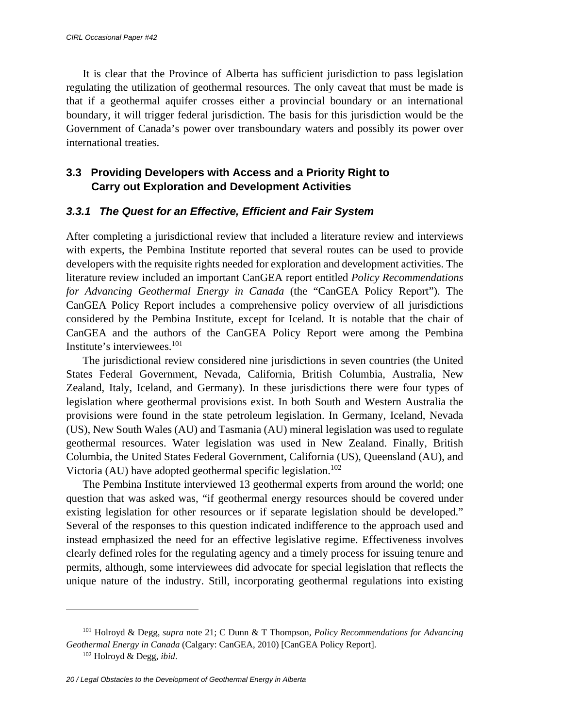It is clear that the Province of Alberta has sufficient jurisdiction to pass legislation regulating the utilization of geothermal resources. The only caveat that must be made is that if a geothermal aquifer crosses either a provincial boundary or an international boundary, it will trigger federal jurisdiction. The basis for this jurisdiction would be the Government of Canada's power over transboundary waters and possibly its power over international treaties.

## **3.3 Providing Developers with Access and a Priority Right to Carry out Exploration and Development Activities**

## *3.3.1 The Quest for an Effective, Efficient and Fair System*

After completing a jurisdictional review that included a literature review and interviews with experts, the Pembina Institute reported that several routes can be used to provide developers with the requisite rights needed for exploration and development activities. The literature review included an important CanGEA report entitled *Policy Recommendations for Advancing Geothermal Energy in Canada* (the "CanGEA Policy Report"). The CanGEA Policy Report includes a comprehensive policy overview of all jurisdictions considered by the Pembina Institute, except for Iceland. It is notable that the chair of CanGEA and the authors of the CanGEA Policy Report were among the Pembina Institute's interviewees.101

The jurisdictional review considered nine jurisdictions in seven countries (the United States Federal Government, Nevada, California, British Columbia, Australia, New Zealand, Italy, Iceland, and Germany). In these jurisdictions there were four types of legislation where geothermal provisions exist. In both South and Western Australia the provisions were found in the state petroleum legislation. In Germany, Iceland, Nevada (US), New South Wales (AU) and Tasmania (AU) mineral legislation was used to regulate geothermal resources. Water legislation was used in New Zealand. Finally, British Columbia, the United States Federal Government, California (US), Queensland (AU), and Victoria (AU) have adopted geothermal specific legislation.<sup>102</sup>

The Pembina Institute interviewed 13 geothermal experts from around the world; one question that was asked was, "if geothermal energy resources should be covered under existing legislation for other resources or if separate legislation should be developed." Several of the responses to this question indicated indifference to the approach used and instead emphasized the need for an effective legislative regime. Effectiveness involves clearly defined roles for the regulating agency and a timely process for issuing tenure and permits, although, some interviewees did advocate for special legislation that reflects the unique nature of the industry. Still, incorporating geothermal regulations into existing

1

<sup>101</sup> Holroyd & Degg, *supra* note 21; C Dunn & T Thompson, *Policy Recommendations for Advancing Geothermal Energy in Canada* (Calgary: CanGEA, 2010) [CanGEA Policy Report]. 102 Holroyd & Degg, *ibid*.

*<sup>20 /</sup> Legal Obstacles to the Development of Geothermal Energy in Alberta*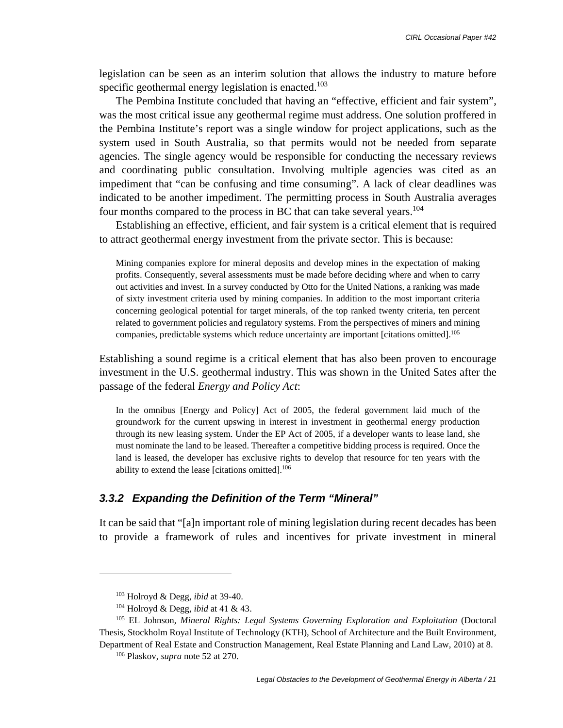legislation can be seen as an interim solution that allows the industry to mature before specific geothermal energy legislation is enacted.<sup>103</sup>

The Pembina Institute concluded that having an "effective, efficient and fair system", was the most critical issue any geothermal regime must address. One solution proffered in the Pembina Institute's report was a single window for project applications, such as the system used in South Australia, so that permits would not be needed from separate agencies. The single agency would be responsible for conducting the necessary reviews and coordinating public consultation. Involving multiple agencies was cited as an impediment that "can be confusing and time consuming". A lack of clear deadlines was indicated to be another impediment. The permitting process in South Australia averages four months compared to the process in BC that can take several years.<sup>104</sup>

Establishing an effective, efficient, and fair system is a critical element that is required to attract geothermal energy investment from the private sector. This is because:

Mining companies explore for mineral deposits and develop mines in the expectation of making profits. Consequently, several assessments must be made before deciding where and when to carry out activities and invest. In a survey conducted by Otto for the United Nations, a ranking was made of sixty investment criteria used by mining companies. In addition to the most important criteria concerning geological potential for target minerals, of the top ranked twenty criteria, ten percent related to government policies and regulatory systems. From the perspectives of miners and mining companies, predictable systems which reduce uncertainty are important [citations omitted].<sup>105</sup>

Establishing a sound regime is a critical element that has also been proven to encourage investment in the U.S. geothermal industry. This was shown in the United Sates after the passage of the federal *Energy and Policy Act*:

In the omnibus [Energy and Policy] Act of 2005, the federal government laid much of the groundwork for the current upswing in interest in investment in geothermal energy production through its new leasing system. Under the EP Act of 2005, if a developer wants to lease land, she must nominate the land to be leased. Thereafter a competitive bidding process is required. Once the land is leased, the developer has exclusive rights to develop that resource for ten years with the ability to extend the lease [citations omitted]. $106$ 

### *3.3.2 Expanding the Definition of the Term "Mineral"*

It can be said that "[a]n important role of mining legislation during recent decades has been to provide a framework of rules and incentives for private investment in mineral

<sup>&</sup>lt;sup>103</sup> Holroyd & Degg, *ibid* at 39-40.<br><sup>104</sup> Holroyd & Degg, *ibid* at 41 & 43.<br><sup>105</sup> EL Johnson, *Mineral Rights: Legal Systems Governing Exploration and Exploitation* (Doctoral Thesis, Stockholm Royal Institute of Technology (KTH), School of Architecture and the Built Environment, Department of Real Estate and Construction Management, Real Estate Planning and Land Law, 2010) at 8. 106 Plaskov, *supra* note 52 at 270.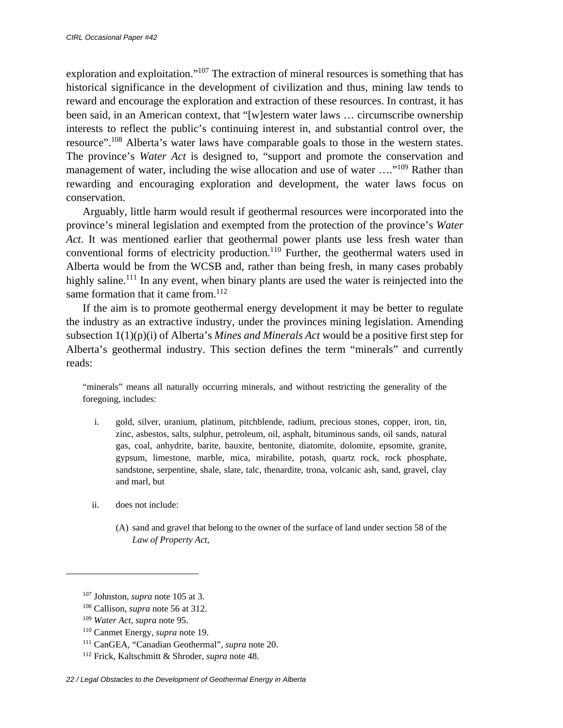exploration and exploitation."107 The extraction of mineral resources is something that has historical significance in the development of civilization and thus, mining law tends to reward and encourage the exploration and extraction of these resources. In contrast, it has been said, in an American context, that "[w]estern water laws … circumscribe ownership interests to reflect the public's continuing interest in, and substantial control over, the resource".108 Alberta's water laws have comparable goals to those in the western states. The province's *Water Act* is designed to, "support and promote the conservation and management of water, including the wise allocation and use of water ....<sup>"109</sup> Rather than rewarding and encouraging exploration and development, the water laws focus on conservation.

Arguably, little harm would result if geothermal resources were incorporated into the province's mineral legislation and exempted from the protection of the province's *Water Act*. It was mentioned earlier that geothermal power plants use less fresh water than conventional forms of electricity production.<sup>110</sup> Further, the geothermal waters used in Alberta would be from the WCSB and, rather than being fresh, in many cases probably highly saline.<sup>111</sup> In any event, when binary plants are used the water is reinjected into the same formation that it came from. $112$ 

If the aim is to promote geothermal energy development it may be better to regulate the industry as an extractive industry, under the provinces mining legislation. Amending subsection 1(1)(p)(i) of Alberta's *Mines and Minerals Act* would be a positive first step for Alberta's geothermal industry. This section defines the term "minerals" and currently reads:

"minerals" means all naturally occurring minerals, and without restricting the generality of the foregoing, includes:

- i. gold, silver, uranium, platinum, pitchblende, radium, precious stones, copper, iron, tin, zinc, asbestos, salts, sulphur, petroleum, oil, asphalt, bituminous sands, oil sands, natural gas, coal, anhydrite, barite, bauxite, bentonite, diatomite, dolomite, epsomite, granite, gypsum, limestone, marble, mica, mirabilite, potash, quartz rock, rock phosphate, sandstone, serpentine, shale, slate, talc, thenardite, trona, volcanic ash, sand, gravel, clay and marl, but
- ii. does not include:
	- (A) sand and gravel that belong to the owner of the surface of land under section 58 of the *Law of Property Act*,

<sup>107</sup> Johnston, *supra* note 105 at 3. 108 Callison, *supra* note 56 at 312.

<sup>109</sup> *Water Act*, *supra* note 95. 110 Canmet Energy, *supra* note 19. 111 CanGEA, "Canadian Geothermal", *supra* note 20. 112 Frick, Kaltschmitt & Shroder, *supra* note 48.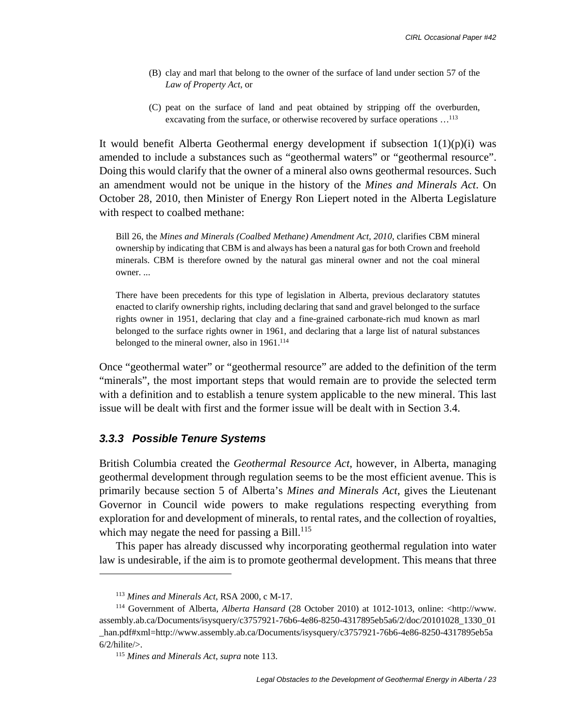- (B) clay and marl that belong to the owner of the surface of land under section 57 of the *Law of Property Act*, or
- (C) peat on the surface of land and peat obtained by stripping off the overburden, excavating from the surface, or otherwise recovered by surface operations ...<sup>113</sup>

It would benefit Alberta Geothermal energy development if subsection  $1(1)(p)(i)$  was amended to include a substances such as "geothermal waters" or "geothermal resource". Doing this would clarify that the owner of a mineral also owns geothermal resources. Such an amendment would not be unique in the history of the *Mines and Minerals Act*. On October 28, 2010, then Minister of Energy Ron Liepert noted in the Alberta Legislature with respect to coalbed methane:

Bill 26, the *Mines and Minerals (Coalbed Methane) Amendment Act, 2010*, clarifies CBM mineral ownership by indicating that CBM is and always has been a natural gas for both Crown and freehold minerals. CBM is therefore owned by the natural gas mineral owner and not the coal mineral owner. ...

There have been precedents for this type of legislation in Alberta, previous declaratory statutes enacted to clarify ownership rights, including declaring that sand and gravel belonged to the surface rights owner in 1951, declaring that clay and a fine-grained carbonate-rich mud known as marl belonged to the surface rights owner in 1961, and declaring that a large list of natural substances belonged to the mineral owner, also in 1961.<sup>114</sup>

Once "geothermal water" or "geothermal resource" are added to the definition of the term "minerals", the most important steps that would remain are to provide the selected term with a definition and to establish a tenure system applicable to the new mineral. This last issue will be dealt with first and the former issue will be dealt with in Section 3.4.

### *3.3.3 Possible Tenure Systems*

British Columbia created the *Geothermal Resource Act*, however, in Alberta, managing geothermal development through regulation seems to be the most efficient avenue. This is primarily because section 5 of Alberta's *Mines and Minerals Act*, gives the Lieutenant Governor in Council wide powers to make regulations respecting everything from exploration for and development of minerals, to rental rates, and the collection of royalties, which may negate the need for passing a Bill.<sup>115</sup>

This paper has already discussed why incorporating geothermal regulation into water law is undesirable, if the aim is to promote geothermal development. This means that three

<sup>&</sup>lt;sup>113</sup> *Mines and Minerals Act*, RSA 2000, c M-17.<br><sup>114</sup> Government of Alberta, *Alberta Hansard* (28 October 2010) at 1012-1013, online: <http://www. assembly.ab.ca/Documents/isysquery/c3757921-76b6-4e86-8250-4317895eb5a6/2/doc/20101028\_1330\_01 \_han.pdf#xml=http://www.assembly.ab.ca/Documents/isysquery/c3757921-76b6-4e86-8250-4317895eb5a 6/2/hilite/>. 115 *Mines and Minerals Act*, *supra* note 113.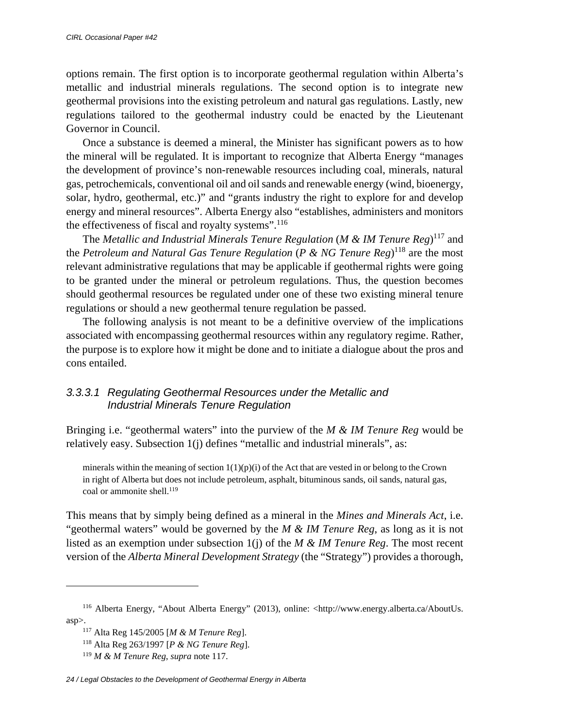options remain. The first option is to incorporate geothermal regulation within Alberta's metallic and industrial minerals regulations. The second option is to integrate new geothermal provisions into the existing petroleum and natural gas regulations. Lastly, new regulations tailored to the geothermal industry could be enacted by the Lieutenant Governor in Council.

Once a substance is deemed a mineral, the Minister has significant powers as to how the mineral will be regulated. It is important to recognize that Alberta Energy "manages the development of province's non-renewable resources including coal, minerals, natural gas, petrochemicals, conventional oil and oil sands and renewable energy (wind, bioenergy, solar, hydro, geothermal, etc.)" and "grants industry the right to explore for and develop energy and mineral resources". Alberta Energy also "establishes, administers and monitors the effectiveness of fiscal and royalty systems".<sup>116</sup>

The *Metallic and Industrial Minerals Tenure Regulation* (*M & IM Tenure Reg*) 117 and the *Petroleum and Natural Gas Tenure Regulation* (*P & NG Tenure Reg*) 118 are the most relevant administrative regulations that may be applicable if geothermal rights were going to be granted under the mineral or petroleum regulations. Thus, the question becomes should geothermal resources be regulated under one of these two existing mineral tenure regulations or should a new geothermal tenure regulation be passed.

The following analysis is not meant to be a definitive overview of the implications associated with encompassing geothermal resources within any regulatory regime. Rather, the purpose is to explore how it might be done and to initiate a dialogue about the pros and cons entailed.

## *3.3.3.1 Regulating Geothermal Resources under the Metallic and Industrial Minerals Tenure Regulation*

Bringing i.e. "geothermal waters" into the purview of the *M & IM Tenure Reg* would be relatively easy. Subsection 1(j) defines "metallic and industrial minerals", as:

minerals within the meaning of section  $1(1)(p)(i)$  of the Act that are vested in or belong to the Crown in right of Alberta but does not include petroleum, asphalt, bituminous sands, oil sands, natural gas, coal or ammonite shell.<sup>119</sup>

This means that by simply being defined as a mineral in the *Mines and Minerals Act*, i.e. "geothermal waters" would be governed by the *M & IM Tenure Reg*, as long as it is not listed as an exemption under subsection 1(j) of the *M & IM Tenure Reg*. The most recent version of the *Alberta Mineral Development Strategy* (the "Strategy") provides a thorough,

<sup>116</sup> Alberta Energy, "About Alberta Energy" (2013), online: <http://www.energy.alberta.ca/AboutUs. asp>. 117 Alta Reg 145/2005 [*M & M Tenure Reg*]. 118 Alta Reg 263/1997 [*P & NG Tenure Reg*].

<sup>119</sup> *M & M Tenure Reg*, *supra* note 117.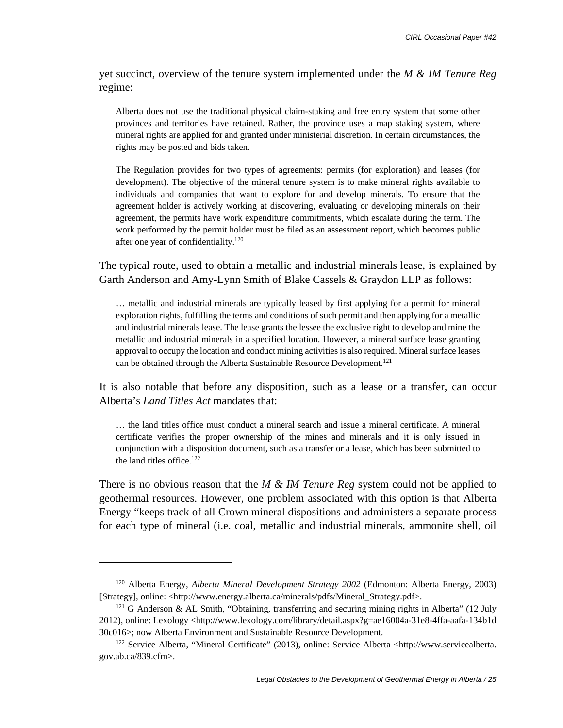yet succinct, overview of the tenure system implemented under the *M & IM Tenure Reg*  regime:

Alberta does not use the traditional physical claim-staking and free entry system that some other provinces and territories have retained. Rather, the province uses a map staking system, where mineral rights are applied for and granted under ministerial discretion. In certain circumstances, the rights may be posted and bids taken.

The Regulation provides for two types of agreements: permits (for exploration) and leases (for development). The objective of the mineral tenure system is to make mineral rights available to individuals and companies that want to explore for and develop minerals. To ensure that the agreement holder is actively working at discovering, evaluating or developing minerals on their agreement, the permits have work expenditure commitments, which escalate during the term. The work performed by the permit holder must be filed as an assessment report, which becomes public after one year of confidentiality.120

The typical route, used to obtain a metallic and industrial minerals lease, is explained by Garth Anderson and Amy-Lynn Smith of Blake Cassels & Graydon LLP as follows:

… metallic and industrial minerals are typically leased by first applying for a permit for mineral exploration rights, fulfilling the terms and conditions of such permit and then applying for a metallic and industrial minerals lease. The lease grants the lessee the exclusive right to develop and mine the metallic and industrial minerals in a specified location. However, a mineral surface lease granting approval to occupy the location and conduct mining activities is also required. Mineral surface leases can be obtained through the Alberta Sustainable Resource Development.<sup>121</sup>

It is also notable that before any disposition, such as a lease or a transfer, can occur Alberta's *Land Titles Act* mandates that:

… the land titles office must conduct a mineral search and issue a mineral certificate. A mineral certificate verifies the proper ownership of the mines and minerals and it is only issued in conjunction with a disposition document, such as a transfer or a lease, which has been submitted to the land titles office. $122$ 

There is no obvious reason that the *M & IM Tenure Reg* system could not be applied to geothermal resources. However, one problem associated with this option is that Alberta Energy "keeps track of all Crown mineral dispositions and administers a separate process for each type of mineral (i.e. coal, metallic and industrial minerals, ammonite shell, oil

<sup>120</sup> Alberta Energy, *Alberta Mineral Development Strategy 2002* (Edmonton: Alberta Energy, 2003) [Strategy], online: <http://www.energy.alberta.ca/minerals/pdfs/Mineral\_Strategy.pdf>. 121 G Anderson & AL Smith, "Obtaining, transferring and securing mining rights in Alberta" (12 July

<sup>2012),</sup> online: Lexology <http://www.lexology.com/library/detail.aspx?g=ae16004a-31e8-4ffa-aafa-134b1d 30c016>; now Alberta Environment and Sustainable Resource Development. 122 Service Alberta, "Mineral Certificate" (2013), online: Service Alberta <http://www.servicealberta.

gov.ab.ca/839.cfm>.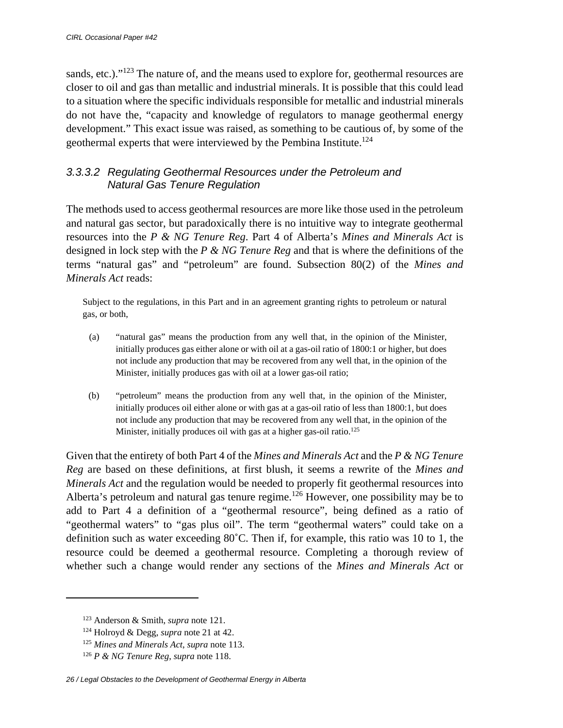sands, etc.)."<sup>123</sup> The nature of, and the means used to explore for, geothermal resources are closer to oil and gas than metallic and industrial minerals. It is possible that this could lead to a situation where the specific individuals responsible for metallic and industrial minerals do not have the, "capacity and knowledge of regulators to manage geothermal energy development." This exact issue was raised, as something to be cautious of, by some of the geothermal experts that were interviewed by the Pembina Institute.124

## *3.3.3.2 Regulating Geothermal Resources under the Petroleum and Natural Gas Tenure Regulation*

The methods used to access geothermal resources are more like those used in the petroleum and natural gas sector, but paradoxically there is no intuitive way to integrate geothermal resources into the *P & NG Tenure Reg*. Part 4 of Alberta's *Mines and Minerals Act* is designed in lock step with the *P & NG Tenure Reg* and that is where the definitions of the terms "natural gas" and "petroleum" are found. Subsection 80(2) of the *Mines and Minerals Act* reads:

Subject to the regulations, in this Part and in an agreement granting rights to petroleum or natural gas, or both,

- (a) "natural gas" means the production from any well that, in the opinion of the Minister, initially produces gas either alone or with oil at a gas-oil ratio of 1800:1 or higher, but does not include any production that may be recovered from any well that, in the opinion of the Minister, initially produces gas with oil at a lower gas-oil ratio;
- (b) "petroleum" means the production from any well that, in the opinion of the Minister, initially produces oil either alone or with gas at a gas-oil ratio of less than 1800:1, but does not include any production that may be recovered from any well that, in the opinion of the Minister, initially produces oil with gas at a higher gas-oil ratio.<sup>125</sup>

Given that the entirety of both Part 4 of the *Mines and Minerals Act* and the *P & NG Tenure Reg* are based on these definitions, at first blush, it seems a rewrite of the *Mines and Minerals Act* and the regulation would be needed to properly fit geothermal resources into Alberta's petroleum and natural gas tenure regime.<sup>126</sup> However, one possibility may be to add to Part 4 a definition of a "geothermal resource", being defined as a ratio of "geothermal waters" to "gas plus oil". The term "geothermal waters" could take on a definition such as water exceeding 80˚C. Then if, for example, this ratio was 10 to 1, the resource could be deemed a geothermal resource. Completing a thorough review of whether such a change would render any sections of the *Mines and Minerals Act* or

1

<sup>123</sup> Anderson & Smith, *supra* note 121. 124 Holroyd & Degg, *supra* note 21 at 42. 125 *Mines and Minerals Act*, *supra* note 113. 126 *P & NG Tenure Reg*, *supra* note 118.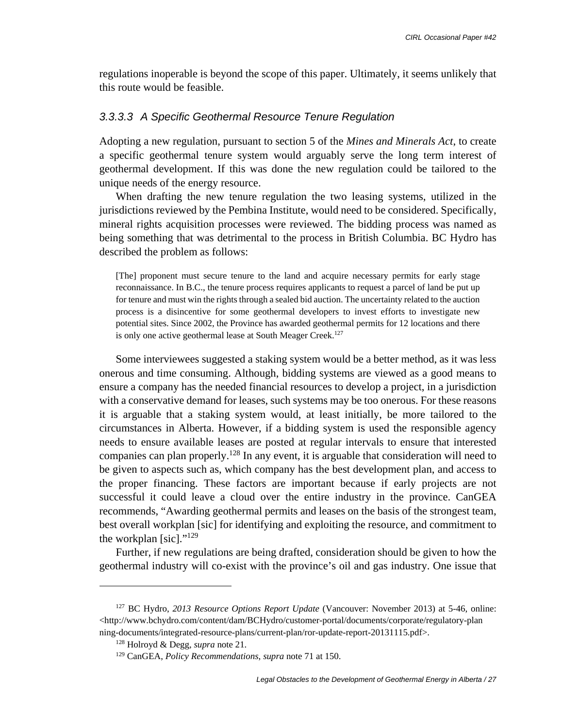regulations inoperable is beyond the scope of this paper. Ultimately, it seems unlikely that this route would be feasible.

### *3.3.3.3 A Specific Geothermal Resource Tenure Regulation*

Adopting a new regulation, pursuant to section 5 of the *Mines and Minerals Act*, to create a specific geothermal tenure system would arguably serve the long term interest of geothermal development. If this was done the new regulation could be tailored to the unique needs of the energy resource.

When drafting the new tenure regulation the two leasing systems, utilized in the jurisdictions reviewed by the Pembina Institute, would need to be considered. Specifically, mineral rights acquisition processes were reviewed. The bidding process was named as being something that was detrimental to the process in British Columbia. BC Hydro has described the problem as follows:

[The] proponent must secure tenure to the land and acquire necessary permits for early stage reconnaissance. In B.C., the tenure process requires applicants to request a parcel of land be put up for tenure and must win the rights through a sealed bid auction. The uncertainty related to the auction process is a disincentive for some geothermal developers to invest efforts to investigate new potential sites. Since 2002, the Province has awarded geothermal permits for 12 locations and there is only one active geothermal lease at South Meager Creek.<sup>127</sup>

Some interviewees suggested a staking system would be a better method, as it was less onerous and time consuming. Although, bidding systems are viewed as a good means to ensure a company has the needed financial resources to develop a project, in a jurisdiction with a conservative demand for leases, such systems may be too onerous. For these reasons it is arguable that a staking system would, at least initially, be more tailored to the circumstances in Alberta. However, if a bidding system is used the responsible agency needs to ensure available leases are posted at regular intervals to ensure that interested companies can plan properly.<sup>128</sup> In any event, it is arguable that consideration will need to be given to aspects such as, which company has the best development plan, and access to the proper financing. These factors are important because if early projects are not successful it could leave a cloud over the entire industry in the province. CanGEA recommends, "Awarding geothermal permits and leases on the basis of the strongest team, best overall workplan [sic] for identifying and exploiting the resource, and commitment to the workplan [sic]."<sup>129</sup>

Further, if new regulations are being drafted, consideration should be given to how the geothermal industry will co-exist with the province's oil and gas industry. One issue that

1

<sup>127</sup> BC Hydro, *2013 Resource Options Report Update* (Vancouver: November 2013) at 5-46, online: <http://www.bchydro.com/content/dam/BCHydro/customer-portal/documents/corporate/regulatory-plan ning-documents/integrated-resource-plans/current-plan/ror-update-report-20131115.pdf>. 128 Holroyd & Degg, *supra* note 21.

<sup>129</sup> CanGEA, *Policy Recommendations*, *supra* note 71 at 150.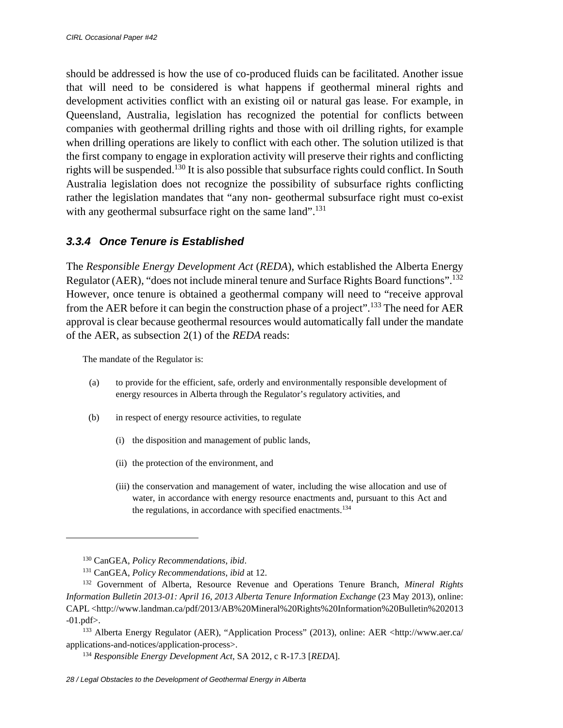should be addressed is how the use of co-produced fluids can be facilitated. Another issue that will need to be considered is what happens if geothermal mineral rights and development activities conflict with an existing oil or natural gas lease. For example, in Queensland, Australia, legislation has recognized the potential for conflicts between companies with geothermal drilling rights and those with oil drilling rights, for example when drilling operations are likely to conflict with each other. The solution utilized is that the first company to engage in exploration activity will preserve their rights and conflicting rights will be suspended.130 It is also possible that subsurface rights could conflict. In South Australia legislation does not recognize the possibility of subsurface rights conflicting rather the legislation mandates that "any non- geothermal subsurface right must co-exist with any geothermal subsurface right on the same land".<sup>131</sup>

## *3.3.4 Once Tenure is Established*

The *Responsible Energy Development Act* (*REDA*), which established the Alberta Energy Regulator (AER), "does not include mineral tenure and Surface Rights Board functions".132 However, once tenure is obtained a geothermal company will need to "receive approval from the AER before it can begin the construction phase of a project".<sup>133</sup> The need for AER approval is clear because geothermal resources would automatically fall under the mandate of the AER, as subsection 2(1) of the *REDA* reads:

The mandate of the Regulator is:

- (a) to provide for the efficient, safe, orderly and environmentally responsible development of energy resources in Alberta through the Regulator's regulatory activities, and
- (b) in respect of energy resource activities, to regulate
	- (i) the disposition and management of public lands,
	- (ii) the protection of the environment, and
	- (iii) the conservation and management of water, including the wise allocation and use of water, in accordance with energy resource enactments and, pursuant to this Act and the regulations, in accordance with specified enactments.<sup>134</sup>

<sup>&</sup>lt;sup>130</sup> CanGEA, *Policy Recommendations*, *ibid*. 12.<br><sup>131</sup> CanGEA, *Policy Recommendations*, *ibid* at 12.<br><sup>132</sup> Government of Alberta, Resource Revenue and Operations Tenure Branch, *Mineral Rights Information Bulletin 2013-01: April 16, 2013 Alberta Tenure Information Exchange* (23 May 2013), online: CAPL <http://www.landman.ca/pdf/2013/AB%20Mineral%20Rights%20Information%20Bulletin%202013 -01.pdf>. 133 Alberta Energy Regulator (AER), "Application Process" (2013), online: AER <http://www.aer.ca/

applications-and-notices/application-process>. 134 *Responsible Energy Development Act*, SA 2012, c R-17.3 [*REDA*].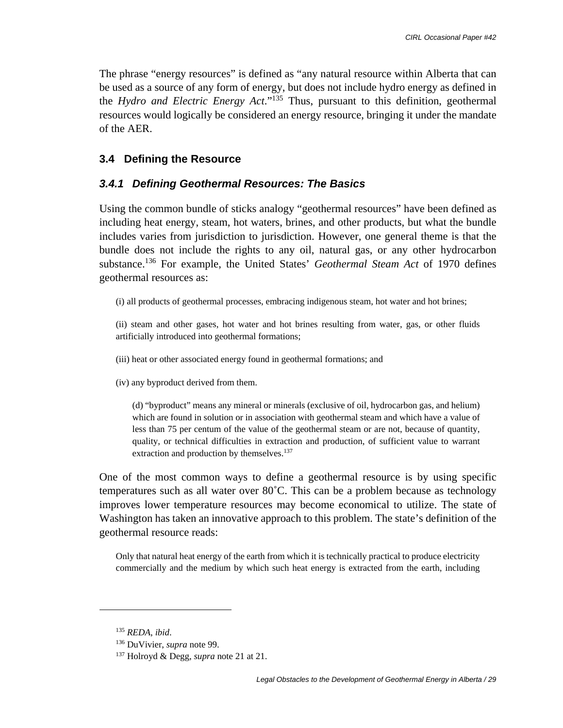The phrase "energy resources" is defined as "any natural resource within Alberta that can be used as a source of any form of energy, but does not include hydro energy as defined in the *Hydro and Electric Energy Act*."135 Thus, pursuant to this definition, geothermal resources would logically be considered an energy resource, bringing it under the mandate of the AER.

## **3.4 Defining the Resource**

## *3.4.1 Defining Geothermal Resources: The Basics*

Using the common bundle of sticks analogy "geothermal resources" have been defined as including heat energy, steam, hot waters, brines, and other products, but what the bundle includes varies from jurisdiction to jurisdiction. However, one general theme is that the bundle does not include the rights to any oil, natural gas, or any other hydrocarbon substance.136 For example, the United States' *Geothermal Steam Act* of 1970 defines geothermal resources as:

(i) all products of geothermal processes, embracing indigenous steam, hot water and hot brines;

(ii) steam and other gases, hot water and hot brines resulting from water, gas, or other fluids artificially introduced into geothermal formations;

- (iii) heat or other associated energy found in geothermal formations; and
- (iv) any byproduct derived from them.

(d) "byproduct" means any mineral or minerals (exclusive of oil, hydrocarbon gas, and helium) which are found in solution or in association with geothermal steam and which have a value of less than 75 per centum of the value of the geothermal steam or are not, because of quantity, quality, or technical difficulties in extraction and production, of sufficient value to warrant extraction and production by themselves.<sup>137</sup>

One of the most common ways to define a geothermal resource is by using specific temperatures such as all water over 80˚C. This can be a problem because as technology improves lower temperature resources may become economical to utilize. The state of Washington has taken an innovative approach to this problem. The state's definition of the geothermal resource reads:

Only that natural heat energy of the earth from which it is technically practical to produce electricity commercially and the medium by which such heat energy is extracted from the earth, including

<sup>135</sup> *REDA*, *ibid*. 136 DuVivier, *supra* note 99. 137 Holroyd & Degg, *supra* note 21 at 21.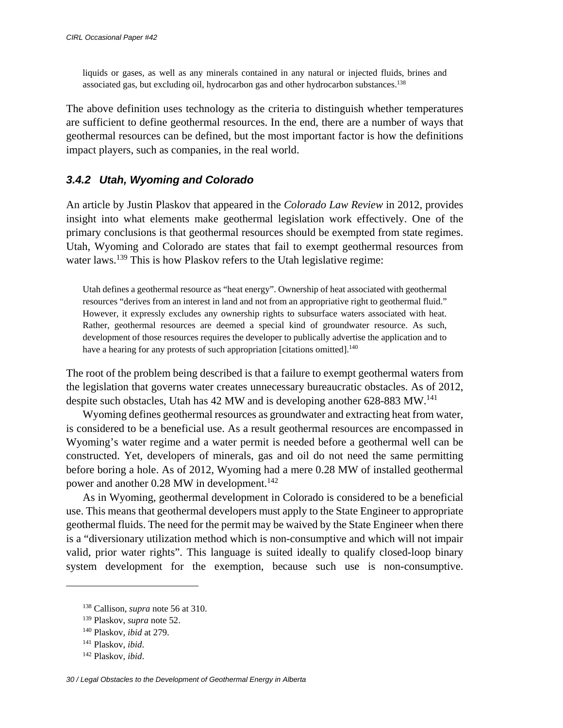liquids or gases, as well as any minerals contained in any natural or injected fluids, brines and associated gas, but excluding oil, hydrocarbon gas and other hydrocarbon substances.138

The above definition uses technology as the criteria to distinguish whether temperatures are sufficient to define geothermal resources. In the end, there are a number of ways that geothermal resources can be defined, but the most important factor is how the definitions impact players, such as companies, in the real world.

## *3.4.2 Utah, Wyoming and Colorado*

An article by Justin Plaskov that appeared in the *Colorado Law Review* in 2012, provides insight into what elements make geothermal legislation work effectively. One of the primary conclusions is that geothermal resources should be exempted from state regimes. Utah, Wyoming and Colorado are states that fail to exempt geothermal resources from water laws.<sup>139</sup> This is how Plaskov refers to the Utah legislative regime:

Utah defines a geothermal resource as "heat energy". Ownership of heat associated with geothermal resources "derives from an interest in land and not from an appropriative right to geothermal fluid." However, it expressly excludes any ownership rights to subsurface waters associated with heat. Rather, geothermal resources are deemed a special kind of groundwater resource. As such, development of those resources requires the developer to publically advertise the application and to have a hearing for any protests of such appropriation [citations omitted].<sup>140</sup>

The root of the problem being described is that a failure to exempt geothermal waters from the legislation that governs water creates unnecessary bureaucratic obstacles. As of 2012, despite such obstacles, Utah has  $42$  MW and is developing another  $628-883$  MW.<sup>141</sup>

Wyoming defines geothermal resources as groundwater and extracting heat from water, is considered to be a beneficial use. As a result geothermal resources are encompassed in Wyoming's water regime and a water permit is needed before a geothermal well can be constructed. Yet, developers of minerals, gas and oil do not need the same permitting before boring a hole. As of 2012, Wyoming had a mere 0.28 MW of installed geothermal power and another 0.28 MW in development.<sup>142</sup>

As in Wyoming, geothermal development in Colorado is considered to be a beneficial use. This means that geothermal developers must apply to the State Engineer to appropriate geothermal fluids. The need for the permit may be waived by the State Engineer when there is a "diversionary utilization method which is non-consumptive and which will not impair valid, prior water rights". This language is suited ideally to qualify closed-loop binary system development for the exemption, because such use is non-consumptive.

<sup>138</sup> Callison, *supra* note 56 at 310.

<sup>139</sup> Plaskov, *supra* note 52. 140 Plaskov, *ibid* at 279. 141 Plaskov, *ibid*. 142 Plaskov, *ibid*.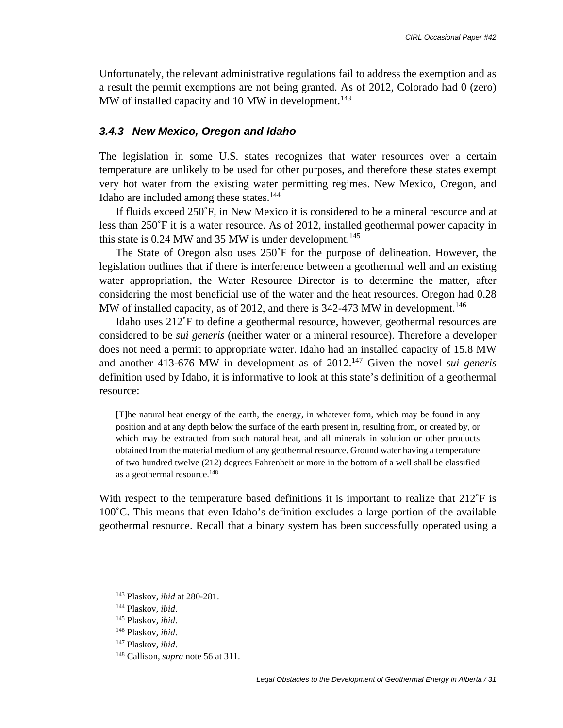Unfortunately, the relevant administrative regulations fail to address the exemption and as a result the permit exemptions are not being granted. As of 2012, Colorado had 0 (zero) MW of installed capacity and 10 MW in development.<sup>143</sup>

#### *3.4.3 New Mexico, Oregon and Idaho*

The legislation in some U.S. states recognizes that water resources over a certain temperature are unlikely to be used for other purposes, and therefore these states exempt very hot water from the existing water permitting regimes. New Mexico, Oregon, and Idaho are included among these states.<sup>144</sup>

If fluids exceed 250˚F, in New Mexico it is considered to be a mineral resource and at less than 250˚F it is a water resource. As of 2012, installed geothermal power capacity in this state is  $0.24$  MW and 35 MW is under development.<sup>145</sup>

The State of Oregon also uses 250˚F for the purpose of delineation. However, the legislation outlines that if there is interference between a geothermal well and an existing water appropriation, the Water Resource Director is to determine the matter, after considering the most beneficial use of the water and the heat resources. Oregon had 0.28 MW of installed capacity, as of 2012, and there is  $342-473$  MW in development.<sup>146</sup>

Idaho uses 212˚F to define a geothermal resource, however, geothermal resources are considered to be *sui generis* (neither water or a mineral resource). Therefore a developer does not need a permit to appropriate water. Idaho had an installed capacity of 15.8 MW and another 413-676 MW in development as of 2012.147 Given the novel *sui generis* definition used by Idaho, it is informative to look at this state's definition of a geothermal resource:

[T]he natural heat energy of the earth, the energy, in whatever form, which may be found in any position and at any depth below the surface of the earth present in, resulting from, or created by, or which may be extracted from such natural heat, and all minerals in solution or other products obtained from the material medium of any geothermal resource. Ground water having a temperature of two hundred twelve (212) degrees Fahrenheit or more in the bottom of a well shall be classified as a geothermal resource.148

With respect to the temperature based definitions it is important to realize that  $212^{\circ}$ F is 100˚C. This means that even Idaho's definition excludes a large portion of the available geothermal resource. Recall that a binary system has been successfully operated using a

1

<sup>143</sup> Plaskov, *ibid* at 280-281. 144 Plaskov, *ibid*. 145 Plaskov, *ibid*. 146 Plaskov, *ibid*. 147 Plaskov, *ibid*. 148 Callison, *supra* note 56 at 311.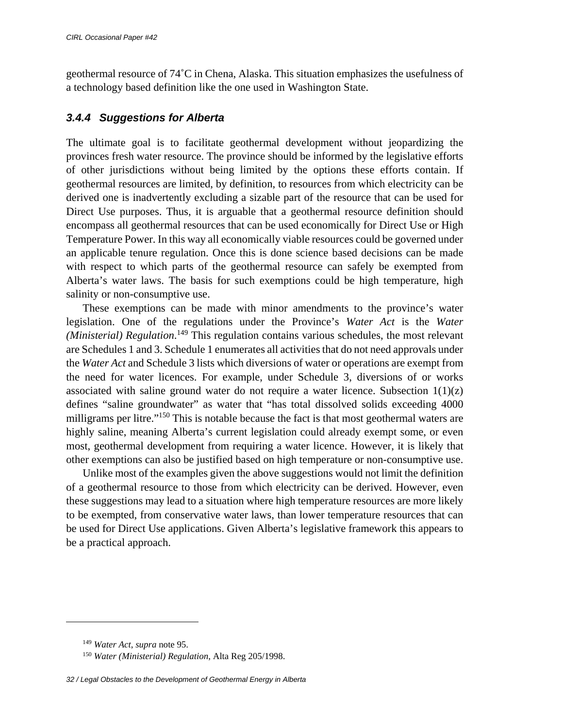geothermal resource of 74˚C in Chena, Alaska. This situation emphasizes the usefulness of a technology based definition like the one used in Washington State.

## *3.4.4 Suggestions for Alberta*

The ultimate goal is to facilitate geothermal development without jeopardizing the provinces fresh water resource. The province should be informed by the legislative efforts of other jurisdictions without being limited by the options these efforts contain. If geothermal resources are limited, by definition, to resources from which electricity can be derived one is inadvertently excluding a sizable part of the resource that can be used for Direct Use purposes. Thus, it is arguable that a geothermal resource definition should encompass all geothermal resources that can be used economically for Direct Use or High Temperature Power. In this way all economically viable resources could be governed under an applicable tenure regulation. Once this is done science based decisions can be made with respect to which parts of the geothermal resource can safely be exempted from Alberta's water laws. The basis for such exemptions could be high temperature, high salinity or non-consumptive use.

These exemptions can be made with minor amendments to the province's water legislation. One of the regulations under the Province's *Water Act* is the *Water*  (*Ministerial*) Regulation.<sup>149</sup> This regulation contains various schedules, the most relevant are Schedules 1 and 3. Schedule 1 enumerates all activities that do not need approvals under the *Water Act* and Schedule 3 lists which diversions of water or operations are exempt from the need for water licences. For example, under Schedule 3, diversions of or works associated with saline ground water do not require a water licence. Subsection  $1(1)(z)$ defines "saline groundwater" as water that "has total dissolved solids exceeding 4000 milligrams per litre."<sup>150</sup> This is notable because the fact is that most geothermal waters are highly saline, meaning Alberta's current legislation could already exempt some, or even most, geothermal development from requiring a water licence. However, it is likely that other exemptions can also be justified based on high temperature or non-consumptive use.

Unlike most of the examples given the above suggestions would not limit the definition of a geothermal resource to those from which electricity can be derived. However, even these suggestions may lead to a situation where high temperature resources are more likely to be exempted, from conservative water laws, than lower temperature resources that can be used for Direct Use applications. Given Alberta's legislative framework this appears to be a practical approach.

<sup>&</sup>lt;sup>149</sup> *Water Act, supra* note 95.<br><sup>150</sup> *Water (Ministerial) Regulation, Alta Reg 205/1998.*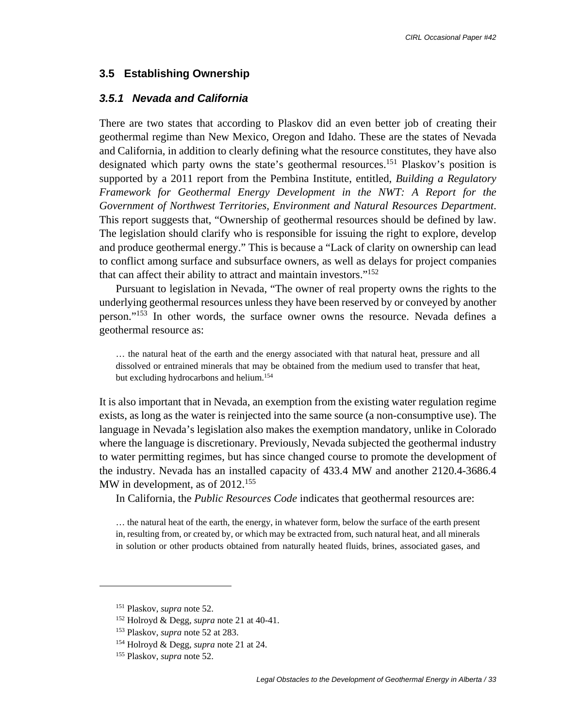#### **3.5 Establishing Ownership**

### *3.5.1 Nevada and California*

There are two states that according to Plaskov did an even better job of creating their geothermal regime than New Mexico, Oregon and Idaho. These are the states of Nevada and California, in addition to clearly defining what the resource constitutes, they have also designated which party owns the state's geothermal resources.<sup>151</sup> Plaskov's position is supported by a 2011 report from the Pembina Institute, entitled, *Building a Regulatory Framework for Geothermal Energy Development in the NWT: A Report for the Government of Northwest Territories, Environment and Natural Resources Department*. This report suggests that, "Ownership of geothermal resources should be defined by law. The legislation should clarify who is responsible for issuing the right to explore, develop and produce geothermal energy." This is because a "Lack of clarity on ownership can lead to conflict among surface and subsurface owners, as well as delays for project companies that can affect their ability to attract and maintain investors."<sup>152</sup>

Pursuant to legislation in Nevada, "The owner of real property owns the rights to the underlying geothermal resources unless they have been reserved by or conveyed by another person."153 In other words, the surface owner owns the resource. Nevada defines a geothermal resource as:

… the natural heat of the earth and the energy associated with that natural heat, pressure and all dissolved or entrained minerals that may be obtained from the medium used to transfer that heat, but excluding hydrocarbons and helium.154

It is also important that in Nevada, an exemption from the existing water regulation regime exists, as long as the water is reinjected into the same source (a non-consumptive use). The language in Nevada's legislation also makes the exemption mandatory, unlike in Colorado where the language is discretionary. Previously, Nevada subjected the geothermal industry to water permitting regimes, but has since changed course to promote the development of the industry. Nevada has an installed capacity of 433.4 MW and another 2120.4-3686.4 MW in development, as of 2012.<sup>155</sup>

In California, the *Public Resources Code* indicates that geothermal resources are:

… the natural heat of the earth, the energy, in whatever form, below the surface of the earth present in, resulting from, or created by, or which may be extracted from, such natural heat, and all minerals in solution or other products obtained from naturally heated fluids, brines, associated gases, and

<sup>151</sup> Plaskov, *supra* note 52. 152 Holroyd & Degg, *supra* note 21 at 40-41. 153 Plaskov, *supra* note 52 at 283. 154 Holroyd & Degg, *supra* note 21 at 24. 155 Plaskov, *supra* note 52.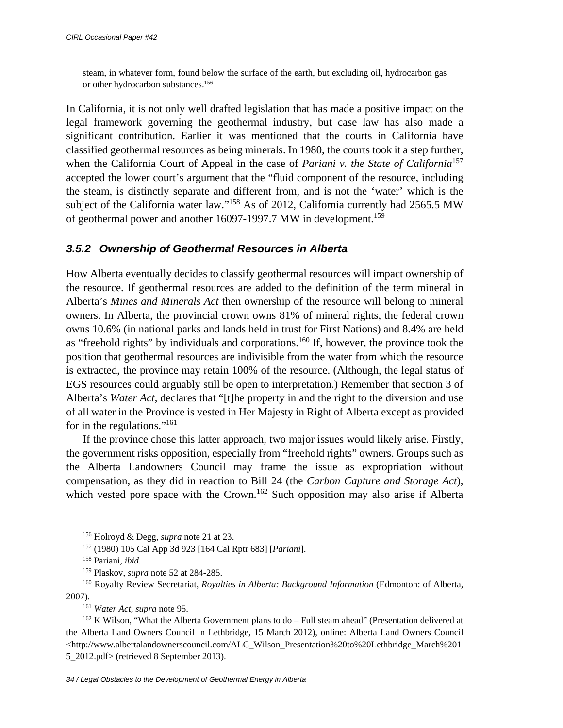steam, in whatever form, found below the surface of the earth, but excluding oil, hydrocarbon gas or other hydrocarbon substances.156

In California, it is not only well drafted legislation that has made a positive impact on the legal framework governing the geothermal industry, but case law has also made a significant contribution. Earlier it was mentioned that the courts in California have classified geothermal resources as being minerals. In 1980, the courts took it a step further, when the California Court of Appeal in the case of *Pariani v. the State of California*<sup>157</sup> accepted the lower court's argument that the "fluid component of the resource, including the steam, is distinctly separate and different from, and is not the 'water' which is the subject of the California water law."158 As of 2012, California currently had 2565.5 MW of geothermal power and another 16097-1997.7 MW in development.<sup>159</sup>

## *3.5.2 Ownership of Geothermal Resources in Alberta*

How Alberta eventually decides to classify geothermal resources will impact ownership of the resource. If geothermal resources are added to the definition of the term mineral in Alberta's *Mines and Minerals Act* then ownership of the resource will belong to mineral owners. In Alberta, the provincial crown owns 81% of mineral rights, the federal crown owns 10.6% (in national parks and lands held in trust for First Nations) and 8.4% are held as "freehold rights" by individuals and corporations.<sup>160</sup> If, however, the province took the position that geothermal resources are indivisible from the water from which the resource is extracted, the province may retain 100% of the resource. (Although, the legal status of EGS resources could arguably still be open to interpretation.) Remember that section 3 of Alberta's *Water Act*, declares that "[t]he property in and the right to the diversion and use of all water in the Province is vested in Her Majesty in Right of Alberta except as provided for in the regulations."161

If the province chose this latter approach, two major issues would likely arise. Firstly, the government risks opposition, especially from "freehold rights" owners. Groups such as the Alberta Landowners Council may frame the issue as expropriation without compensation, as they did in reaction to Bill 24 (the *Carbon Capture and Storage Act*), which vested pore space with the Crown.<sup>162</sup> Such opposition may also arise if Alberta

<sup>&</sup>lt;sup>156</sup> Holroyd & Degg, *supra* note 21 at 23.<br><sup>157</sup> (1980) 105 Cal App 3d 923 [164 Cal Rptr 683] [*Pariani*].<br><sup>158</sup> Pariani, *ibid*.<br><sup>159</sup> Plaskov, *supra* note 52 at 284-285.<br><sup>160</sup> Royalty Review Secretariat, *Royalties i* 

<sup>&</sup>lt;sup>161</sup> *Water Act*, *supra* note 95.<br><sup>162</sup> K Wilson, "What the Alberta Government plans to do – Full steam ahead" (Presentation delivered at the Alberta Land Owners Council in Lethbridge, 15 March 2012), online: Alberta Land Owners Council  $\lt$ http://www.albertalandownerscouncil.com/ALC\_Wilson\_Presentation%20to%20Lethbridge\_March%201 5\_2012.pdf> (retrieved 8 September 2013).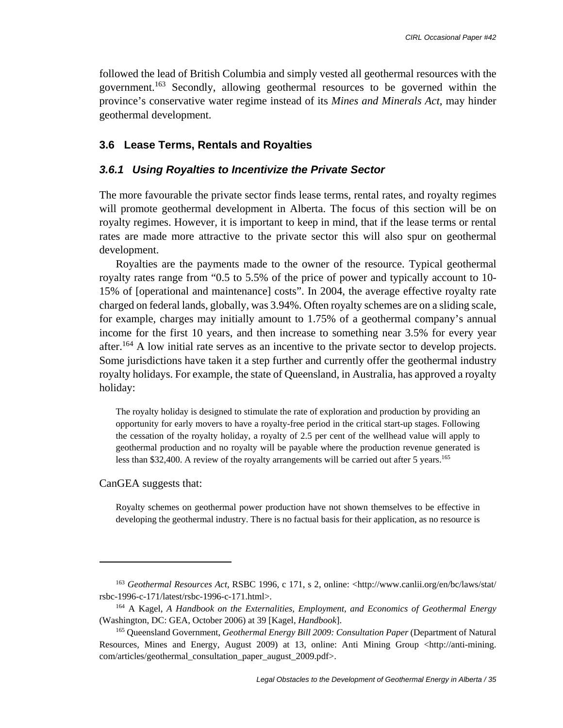followed the lead of British Columbia and simply vested all geothermal resources with the government.163 Secondly, allowing geothermal resources to be governed within the province's conservative water regime instead of its *Mines and Minerals Act*, may hinder geothermal development.

#### **3.6 Lease Terms, Rentals and Royalties**

#### *3.6.1 Using Royalties to Incentivize the Private Sector*

The more favourable the private sector finds lease terms, rental rates, and royalty regimes will promote geothermal development in Alberta. The focus of this section will be on royalty regimes. However, it is important to keep in mind, that if the lease terms or rental rates are made more attractive to the private sector this will also spur on geothermal development.

Royalties are the payments made to the owner of the resource. Typical geothermal royalty rates range from "0.5 to 5.5% of the price of power and typically account to 10- 15% of [operational and maintenance] costs". In 2004, the average effective royalty rate charged on federal lands, globally, was 3.94%. Often royalty schemes are on a sliding scale, for example, charges may initially amount to 1.75% of a geothermal company's annual income for the first 10 years, and then increase to something near 3.5% for every year after.<sup>164</sup> A low initial rate serves as an incentive to the private sector to develop projects. Some jurisdictions have taken it a step further and currently offer the geothermal industry royalty holidays. For example, the state of Queensland, in Australia, has approved a royalty holiday:

The royalty holiday is designed to stimulate the rate of exploration and production by providing an opportunity for early movers to have a royalty-free period in the critical start-up stages. Following the cessation of the royalty holiday, a royalty of 2.5 per cent of the wellhead value will apply to geothermal production and no royalty will be payable where the production revenue generated is less than \$32,400. A review of the royalty arrangements will be carried out after 5 years.<sup>165</sup>

#### CanGEA suggests that:

 $\overline{a}$ 

Royalty schemes on geothermal power production have not shown themselves to be effective in developing the geothermal industry. There is no factual basis for their application, as no resource is

<sup>163</sup> *Geothermal Resources Act*, RSBC 1996, c 171, s 2, online: <http://www.canlii.org/en/bc/laws/stat/ rsbc-1996-c-171/latest/rsbc-1996-c-171.html>. 164 A Kagel, *A Handbook on the Externalities, Employment, and Economics of Geothermal Energy*

<sup>(</sup>Washington, DC: GEA, October 2006) at 39 [Kagel, *Handbook*]. 165 Queensland Government, *Geothermal Energy Bill 2009: Consultation Paper* (Department of Natural

Resources, Mines and Energy, August 2009) at 13, online: Anti Mining Group <http://anti-mining. com/articles/geothermal\_consultation\_paper\_august\_2009.pdf>.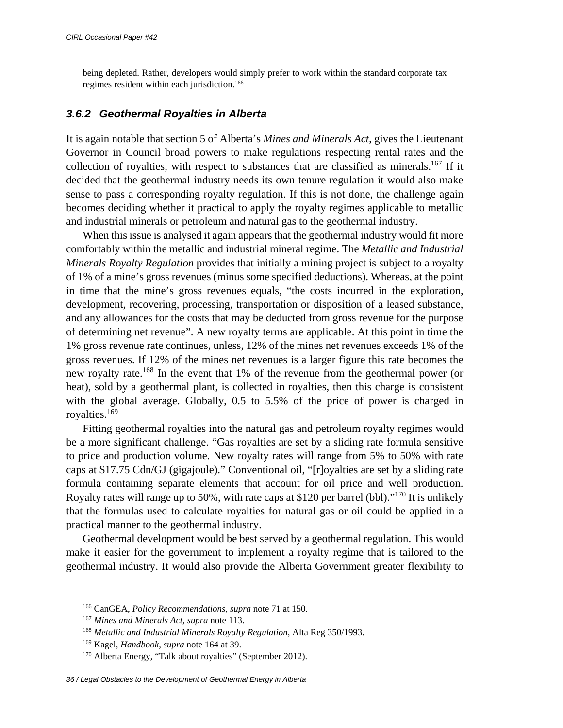being depleted. Rather, developers would simply prefer to work within the standard corporate tax regimes resident within each jurisdiction.166

#### *3.6.2 Geothermal Royalties in Alberta*

It is again notable that section 5 of Alberta's *Mines and Minerals Act*, gives the Lieutenant Governor in Council broad powers to make regulations respecting rental rates and the collection of royalties, with respect to substances that are classified as minerals.<sup>167</sup> If it decided that the geothermal industry needs its own tenure regulation it would also make sense to pass a corresponding royalty regulation. If this is not done, the challenge again becomes deciding whether it practical to apply the royalty regimes applicable to metallic and industrial minerals or petroleum and natural gas to the geothermal industry.

When this issue is analysed it again appears that the geothermal industry would fit more comfortably within the metallic and industrial mineral regime. The *Metallic and Industrial Minerals Royalty Regulation* provides that initially a mining project is subject to a royalty of 1% of a mine's gross revenues (minus some specified deductions). Whereas, at the point in time that the mine's gross revenues equals, "the costs incurred in the exploration, development, recovering, processing, transportation or disposition of a leased substance, and any allowances for the costs that may be deducted from gross revenue for the purpose of determining net revenue". A new royalty terms are applicable. At this point in time the 1% gross revenue rate continues, unless, 12% of the mines net revenues exceeds 1% of the gross revenues. If 12% of the mines net revenues is a larger figure this rate becomes the new royalty rate.<sup>168</sup> In the event that 1% of the revenue from the geothermal power (or heat), sold by a geothermal plant, is collected in royalties, then this charge is consistent with the global average. Globally, 0.5 to 5.5% of the price of power is charged in royalties.169

Fitting geothermal royalties into the natural gas and petroleum royalty regimes would be a more significant challenge. "Gas royalties are set by a sliding rate formula sensitive to price and production volume. New royalty rates will range from 5% to 50% with rate caps at \$17.75 Cdn/GJ (gigajoule)." Conventional oil, "[r]oyalties are set by a sliding rate formula containing separate elements that account for oil price and well production. Royalty rates will range up to 50%, with rate caps at \$120 per barrel (bbl)."<sup>170</sup> It is unlikely that the formulas used to calculate royalties for natural gas or oil could be applied in a practical manner to the geothermal industry.

Geothermal development would be best served by a geothermal regulation. This would make it easier for the government to implement a royalty regime that is tailored to the geothermal industry. It would also provide the Alberta Government greater flexibility to

1

<sup>&</sup>lt;sup>166</sup> CanGEA, *Policy Recommendations*, *supra* note 71 at 150.<br><sup>167</sup> *Mines and Minerals Act*, *supra* note 113.<br><sup>168</sup> *Metallic and Industrial Minerals Royalty Regulation*, Alta Reg 350/1993.

<sup>&</sup>lt;sup>169</sup> Kagel, *Handbook*, *supra* note 164 at 39.<br><sup>170</sup> Alberta Energy, "Talk about royalties" (September 2012).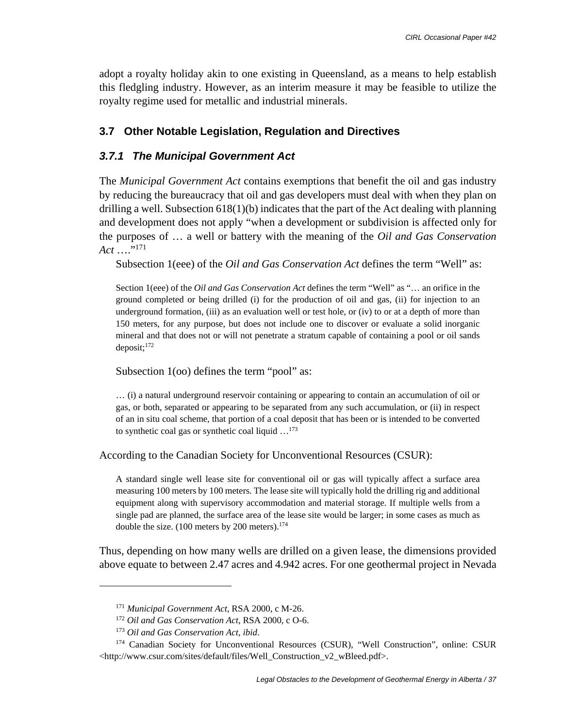adopt a royalty holiday akin to one existing in Queensland, as a means to help establish this fledgling industry. However, as an interim measure it may be feasible to utilize the royalty regime used for metallic and industrial minerals.

## **3.7 Other Notable Legislation, Regulation and Directives**

## *3.7.1 The Municipal Government Act*

The *Municipal Government Act* contains exemptions that benefit the oil and gas industry by reducing the bureaucracy that oil and gas developers must deal with when they plan on drilling a well. Subsection  $618(1)(b)$  indicates that the part of the Act dealing with planning and development does not apply "when a development or subdivision is affected only for the purposes of … a well or battery with the meaning of the *Oil and Gas Conservation Act* …."171

Subsection 1(eee) of the *Oil and Gas Conservation Act* defines the term "Well" as:

Section 1(eee) of the *Oil and Gas Conservation Act* defines the term "Well" as "… an orifice in the ground completed or being drilled (i) for the production of oil and gas, (ii) for injection to an underground formation, (iii) as an evaluation well or test hole, or (iv) to or at a depth of more than 150 meters, for any purpose, but does not include one to discover or evaluate a solid inorganic mineral and that does not or will not penetrate a stratum capable of containing a pool or oil sands  $deposit;$ <sup>172</sup>

Subsection 1(oo) defines the term "pool" as:

… (i) a natural underground reservoir containing or appearing to contain an accumulation of oil or gas, or both, separated or appearing to be separated from any such accumulation, or (ii) in respect of an in situ coal scheme, that portion of a coal deposit that has been or is intended to be converted to synthetic coal gas or synthetic coal liquid  $\dots$ <sup>173</sup>

According to the Canadian Society for Unconventional Resources (CSUR):

A standard single well lease site for conventional oil or gas will typically affect a surface area measuring 100 meters by 100 meters. The lease site will typically hold the drilling rig and additional equipment along with supervisory accommodation and material storage. If multiple wells from a single pad are planned, the surface area of the lease site would be larger; in some cases as much as double the size. (100 meters by 200 meters).<sup>174</sup>

Thus, depending on how many wells are drilled on a given lease, the dimensions provided above equate to between 2.47 acres and 4.942 acres. For one geothermal project in Nevada

<sup>&</sup>lt;sup>171</sup> Municipal Government Act, RSA 2000, c M-26.<br><sup>172</sup> Oil and Gas Conservation Act, RSA 2000, c O-6.<br><sup>173</sup> Oil and Gas Conservation Act, ibid.<br><sup>174</sup> Canadian Society for Unconventional Resources (CSUR), "Well Constructi <http://www.csur.com/sites/default/files/Well\_Construction\_v2\_wBleed.pdf>.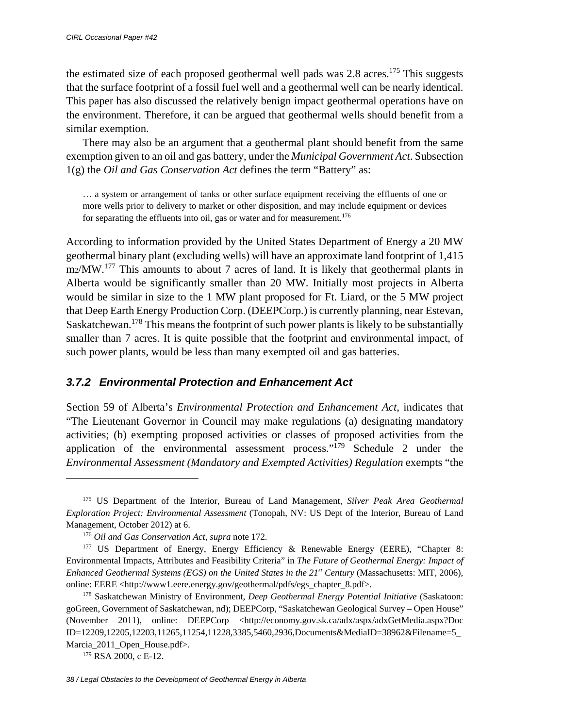the estimated size of each proposed geothermal well pads was  $2.8$  acres.<sup>175</sup> This suggests that the surface footprint of a fossil fuel well and a geothermal well can be nearly identical. This paper has also discussed the relatively benign impact geothermal operations have on the environment. Therefore, it can be argued that geothermal wells should benefit from a similar exemption.

There may also be an argument that a geothermal plant should benefit from the same exemption given to an oil and gas battery, under the *Municipal Government Act*. Subsection 1(g) the *Oil and Gas Conservation Act* defines the term "Battery" as:

… a system or arrangement of tanks or other surface equipment receiving the effluents of one or more wells prior to delivery to market or other disposition, and may include equipment or devices for separating the effluents into oil, gas or water and for measurement.<sup>176</sup>

According to information provided by the United States Department of Energy a 20 MW geothermal binary plant (excluding wells) will have an approximate land footprint of 1,415 m<sub>2</sub>/MW.<sup>177</sup> This amounts to about 7 acres of land. It is likely that geothermal plants in Alberta would be significantly smaller than 20 MW. Initially most projects in Alberta would be similar in size to the 1 MW plant proposed for Ft. Liard, or the 5 MW project that Deep Earth Energy Production Corp. (DEEPCorp.) is currently planning, near Estevan, Saskatchewan.<sup>178</sup> This means the footprint of such power plants is likely to be substantially smaller than 7 acres. It is quite possible that the footprint and environmental impact, of such power plants, would be less than many exempted oil and gas batteries.

## *3.7.2 Environmental Protection and Enhancement Act*

Section 59 of Alberta's *Environmental Protection and Enhancement Act*, indicates that "The Lieutenant Governor in Council may make regulations (a) designating mandatory activities; (b) exempting proposed activities or classes of proposed activities from the application of the environmental assessment process."179 Schedule 2 under the *Environmental Assessment (Mandatory and Exempted Activities) Regulation* exempts "the

<sup>175</sup> US Department of the Interior, Bureau of Land Management, *Silver Peak Area Geothermal Exploration Project: Environmental Assessment* (Tonopah, NV: US Dept of the Interior, Bureau of Land Management, October 2012) at 6.<br><sup>176</sup> *Oil and Gas Conservation Act*, *supra* note 172.<br><sup>177</sup> US Department of Energy, Energy Efficiency & Renewable Energy (EERE), "Chapter 8:

Environmental Impacts, Attributes and Feasibility Criteria" in *The Future of Geothermal Energy: Impact of Enhanced Geothermal Systems (EGS) on the United States in the 21st Century* (Massachusetts: MIT, 2006), online: EERE <http://www1.eere.energy.gov/geothermal/pdfs/egs\_chapter\_8.pdf>. 178 Saskatchewan Ministry of Environment, *Deep Geothermal Energy Potential Initiative* (Saskatoon:

goGreen, Government of Saskatchewan, nd); DEEPCorp, "Saskatchewan Geological Survey – Open House" (November 2011), online: DEEPCorp <http://economy.gov.sk.ca/adx/aspx/adxGetMedia.aspx?Doc ID=12209,12205,12203,11265,11254,11228,3385,5460,2936,Documents&MediaID=38962&Filename=5\_ Marcia 2011 Open House.pdf>.

<sup>179</sup> RSA 2000, c E-12.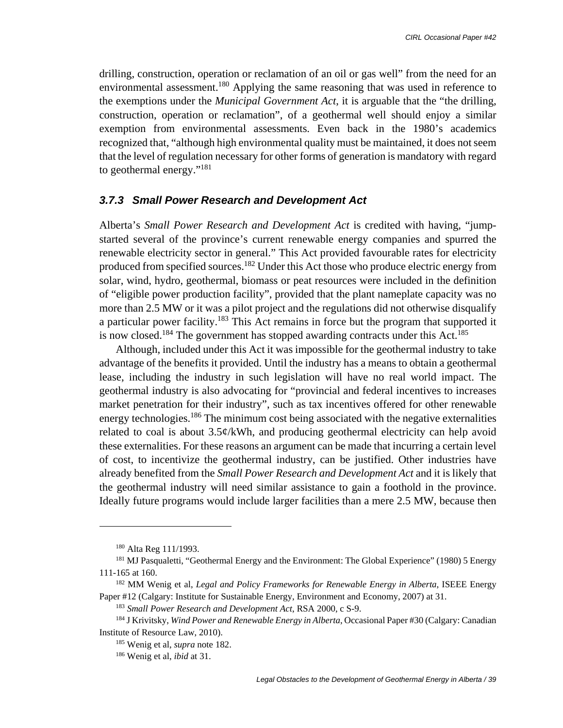drilling, construction, operation or reclamation of an oil or gas well" from the need for an environmental assessment.<sup>180</sup> Applying the same reasoning that was used in reference to the exemptions under the *Municipal Government Act*, it is arguable that the "the drilling, construction, operation or reclamation", of a geothermal well should enjoy a similar exemption from environmental assessments. Even back in the 1980's academics recognized that, "although high environmental quality must be maintained, it does not seem that the level of regulation necessary for other forms of generation is mandatory with regard to geothermal energy."181

#### *3.7.3 Small Power Research and Development Act*

Alberta's *Small Power Research and Development Act* is credited with having, "jumpstarted several of the province's current renewable energy companies and spurred the renewable electricity sector in general." This Act provided favourable rates for electricity produced from specified sources.<sup>182</sup> Under this Act those who produce electric energy from solar, wind, hydro, geothermal, biomass or peat resources were included in the definition of "eligible power production facility", provided that the plant nameplate capacity was no more than 2.5 MW or it was a pilot project and the regulations did not otherwise disqualify a particular power facility.183 This Act remains in force but the program that supported it is now closed.<sup>184</sup> The government has stopped awarding contracts under this Act.<sup>185</sup>

Although, included under this Act it was impossible for the geothermal industry to take advantage of the benefits it provided. Until the industry has a means to obtain a geothermal lease, including the industry in such legislation will have no real world impact. The geothermal industry is also advocating for "provincial and federal incentives to increases market penetration for their industry", such as tax incentives offered for other renewable energy technologies.<sup>186</sup> The minimum cost being associated with the negative externalities related to coal is about  $3.5\frac{\cancel{e}}{kWh}$ , and producing geothermal electricity can help avoid these externalities. For these reasons an argument can be made that incurring a certain level of cost, to incentivize the geothermal industry, can be justified. Other industries have already benefited from the *Small Power Research and Development Act* and it is likely that the geothermal industry will need similar assistance to gain a foothold in the province. Ideally future programs would include larger facilities than a mere 2.5 MW, because then

<sup>&</sup>lt;sup>180</sup> Alta Reg 111/1993.<br><sup>181</sup> MJ Pasqualetti, "Geothermal Energy and the Environment: The Global Experience" (1980) 5 Energy 111-165 at 160. 182 MM Wenig et al, *Legal and Policy Frameworks for Renewable Energy in Alberta*, ISEEE Energy

Paper #12 (Calgary: Institute for Sustainable Energy, Environment and Economy, 2007) at 31.<br><sup>183</sup> *Small Power Research and Development Act*, RSA 2000, c S-9.<br><sup>184</sup> J Krivitsky, *Wind Power and Renewable Energy in Alberta* 

Institute of Resource Law, 2010). 185 Wenig et al, *supra* note 182. 186 Wenig et al, *ibid* at 31.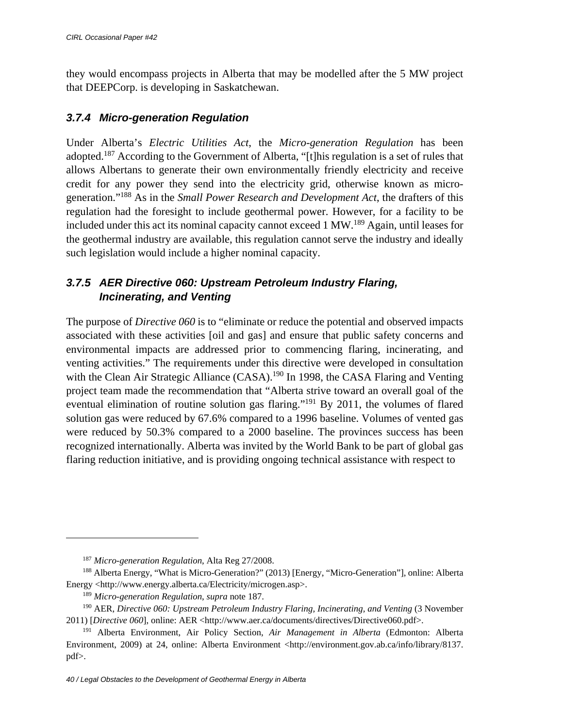they would encompass projects in Alberta that may be modelled after the 5 MW project that DEEPCorp. is developing in Saskatchewan.

## *3.7.4 Micro-generation Regulation*

Under Alberta's *Electric Utilities Act*, the *Micro-generation Regulation* has been adopted.<sup>187</sup> According to the Government of Alberta, "[t]his regulation is a set of rules that allows Albertans to generate their own environmentally friendly electricity and receive credit for any power they send into the electricity grid, otherwise known as microgeneration."188 As in the *Small Power Research and Development Act*, the drafters of this regulation had the foresight to include geothermal power. However, for a facility to be included under this act its nominal capacity cannot exceed 1 MW.<sup>189</sup> Again, until leases for the geothermal industry are available, this regulation cannot serve the industry and ideally such legislation would include a higher nominal capacity.

## *3.7.5 AER Directive 060: Upstream Petroleum Industry Flaring, Incinerating, and Venting*

The purpose of *Directive 060* is to "eliminate or reduce the potential and observed impacts associated with these activities [oil and gas] and ensure that public safety concerns and environmental impacts are addressed prior to commencing flaring, incinerating, and venting activities." The requirements under this directive were developed in consultation with the Clean Air Strategic Alliance (CASA).<sup>190</sup> In 1998, the CASA Flaring and Venting project team made the recommendation that "Alberta strive toward an overall goal of the eventual elimination of routine solution gas flaring."<sup>191</sup> By 2011, the volumes of flared solution gas were reduced by 67.6% compared to a 1996 baseline. Volumes of vented gas were reduced by 50.3% compared to a 2000 baseline. The provinces success has been recognized internationally. Alberta was invited by the World Bank to be part of global gas flaring reduction initiative, and is providing ongoing technical assistance with respect to

<sup>&</sup>lt;sup>187</sup> *Micro-generation Regulation*, Alta Reg 27/2008.<br><sup>188</sup> Alberta Energy, "What is Micro-Generation?" (2013) [Energy, "Micro-Generation"], online: Alberta Energy <http://www.energy.alberta.ca/Electricity/microgen.asp>.

<sup>189</sup> *Micro-generation Regulation*, *supra* note 187.

<sup>190</sup> AER, *Directive 060: Upstream Petroleum Industry Flaring, Incinerating, and Venting* (3 November 2011) [Directive 060], online: AER <http://www.aer.ca/documents/directives/Directive060.pdf>.

<sup>191</sup> Alberta Environment, Air Policy Section, *Air Management in Alberta* (Edmonton: Alberta Environment, 2009) at 24, online: Alberta Environment <http://environment.gov.ab.ca/info/library/8137. pdf>.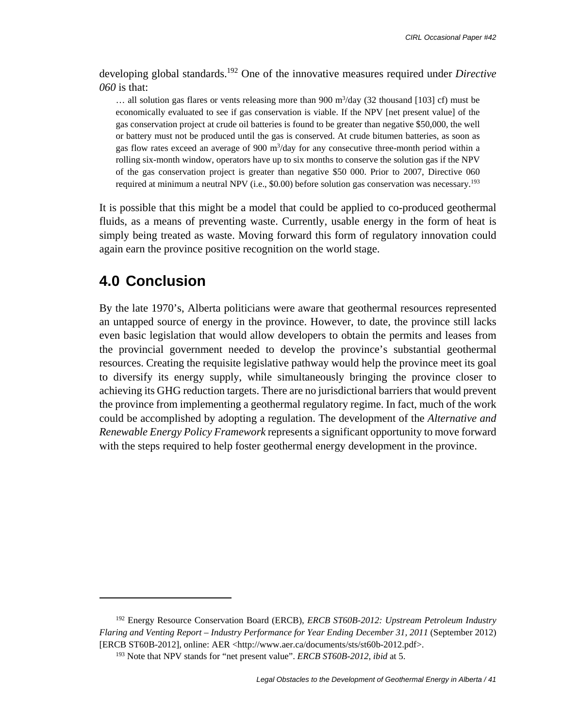developing global standards.192 One of the innovative measures required under *Directive 060* is that:

... all solution gas flares or vents releasing more than 900  $\text{m}^3/\text{day}$  (32 thousand [103] cf) must be economically evaluated to see if gas conservation is viable. If the NPV [net present value] of the gas conservation project at crude oil batteries is found to be greater than negative \$50,000, the well or battery must not be produced until the gas is conserved. At crude bitumen batteries, as soon as gas flow rates exceed an average of  $900 \text{ m}^3$ /day for any consecutive three-month period within a rolling six-month window, operators have up to six months to conserve the solution gas if the NPV of the gas conservation project is greater than negative \$50 000. Prior to 2007, Directive 060 required at minimum a neutral NPV (i.e., \$0.00) before solution gas conservation was necessary.193

It is possible that this might be a model that could be applied to co-produced geothermal fluids, as a means of preventing waste. Currently, usable energy in the form of heat is simply being treated as waste. Moving forward this form of regulatory innovation could again earn the province positive recognition on the world stage.

# **4.0 Conclusion**

 $\overline{a}$ 

By the late 1970's, Alberta politicians were aware that geothermal resources represented an untapped source of energy in the province. However, to date, the province still lacks even basic legislation that would allow developers to obtain the permits and leases from the provincial government needed to develop the province's substantial geothermal resources. Creating the requisite legislative pathway would help the province meet its goal to diversify its energy supply, while simultaneously bringing the province closer to achieving its GHG reduction targets. There are no jurisdictional barriers that would prevent the province from implementing a geothermal regulatory regime. In fact, much of the work could be accomplished by adopting a regulation. The development of the *Alternative and Renewable Energy Policy Framework* represents a significant opportunity to move forward with the steps required to help foster geothermal energy development in the province.

<sup>192</sup> Energy Resource Conservation Board (ERCB), *ERCB ST60B-2012: Upstream Petroleum Industry Flaring and Venting Report – Industry Performance for Year Ending December 31, 2011* (September 2012) [ERCB ST60B-2012], online: AER <http://www.aer.ca/documents/sts/st60b-2012.pdf>.

<sup>193</sup> Note that NPV stands for "net present value". *ERCB ST60B-2012*, *ibid* at 5.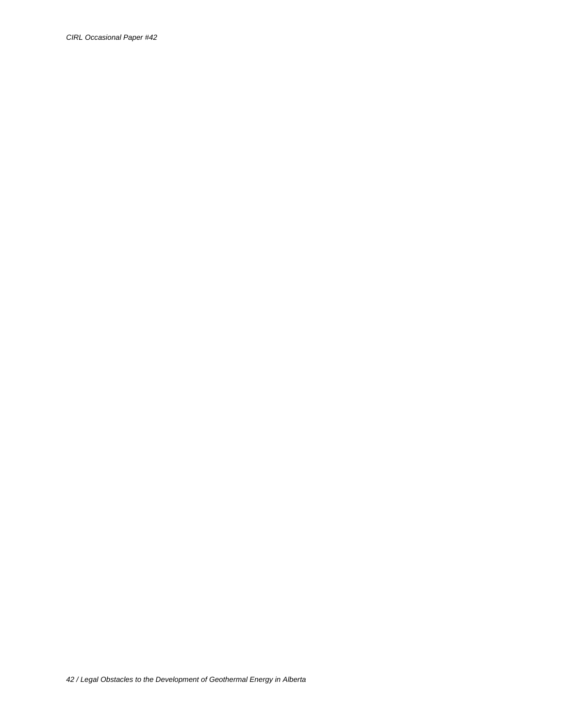*CIRL Occasional Paper #42*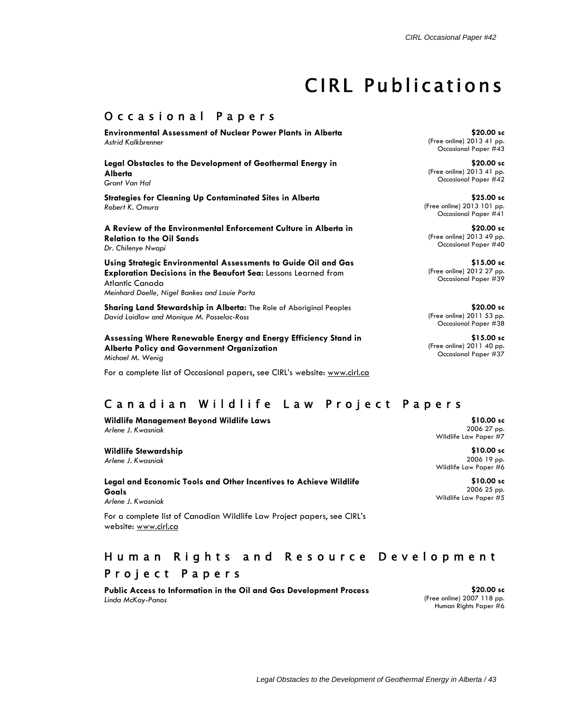# CIRL Publications

### Occasional Papers

**Environmental Assessment of Nuclear Power Plants in Alberta** *Astrid Kalkbrenner* 

**Legal Obstacles to the Development of Geothermal Energy in Alberta** *Grant Van Hal* 

**Strategies for Cleaning Up Contaminated Sites in Alberta** *Robert K. Omura* 

**A Review of the Environmental Enforcement Culture in Alberta in Relation to the Oil Sands** *Dr. Chilenye Nwapi* 

**Using Strategic Environmental Assessments to Guide Oil and Gas Exploration Decisions in the Beaufort Sea:** Lessons Learned from Atlantic Canada *Meinhard Doelle, Nigel Bankes and Louie Porta* 

**Sharing Land Stewardship in Alberta:** The Role of Aboriginal Peoples *David Laidlaw and Monique M. Passelac-Ross* 

**Assessing Where Renewable Energy and Energy Efficiency Stand in Alberta Policy and Government Organization** *Michael M. Wenig* 

For a complete list of Occasional papers, see CIRL's website: www.cirl.ca

**\$20.00 sc** (Free online) 2013 41 pp. Occasional Paper #43

**\$20.00 sc** (Free online) 2013 41 pp. Occasional Paper #42

**\$25.00 sc** (Free online) 2013 101 pp. Occasional Paper #41

**\$20.00 sc** (Free online) 2013 49 pp. Occasional Paper #40

**\$15.00 sc** (Free online) 2012 27 pp. Occasional Paper #39

**\$20.00 sc** (Free online) 2011 53 pp. Occasional Paper #38

**\$15.00 sc** (Free online) 2011 40 pp. Occasional Paper #37

## Canadian Wildlife Law Project Papers

**Wildlife Management Beyond Wildlife Laws** *Arlene J. Kwasniak* 

**Wildlife Stewardship** *Arlene J. Kwasniak* 

### **Legal and Economic Tools and Other Incentives to Achieve Wildlife Goals**

*Arlene J. Kwasniak* 

For a complete list of Canadian Wildlife Law Project papers, see CIRL's website: www.cirl.ca

## Human Rights and Resource Development Project Papers

**Public Access to Information in the Oil and Gas Development Process** *Linda McKay-Panos*

**\$20.00 sc** (Free online) 2007 118 pp. Human Rights Paper #6

**\$10.00 sc** 2006 27 pp. Wildlife Law Paper #7

**\$10.00 sc**  2006 19 pp. Wildlife Law Paper #6

**\$10.00 sc**  2006 25 pp. Wildlife Law Paper #5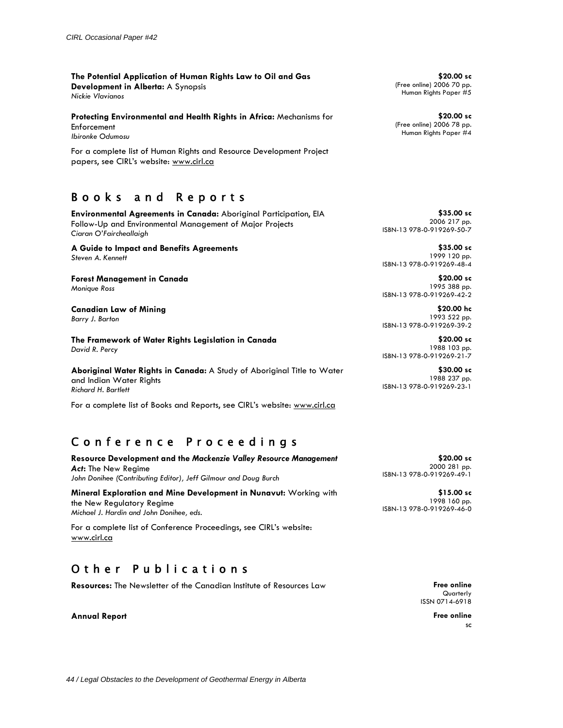**The Potential Application of Human Rights Law to Oil and Gas Development in Alberta:** A Synopsis *Nickie Vlavianos* 

**Protecting Environmental and Health Rights in Africa:** Mechanisms for **Enforcement** 

*Ibironke Odumosu* 

For a complete list of Human Rights and Resource Development Project papers, see CIRL's website: www.cirl.ca

## Books and Reports

**Environmental Agreements in Canada:** Aboriginal Participation, EIA Follow-Up and Environmental Management of Major Projects *Ciaran O'Faircheallaigh*

**A Guide to Impact and Benefits Agreements**  *Steven A. Kennett*

**Forest Management in Canada** *Monique Ross*

**Canadian Law of Mining** *Barry J. Barton*

**The Framework of Water Rights Legislation in Canada**  *David R. Percy*

**Aboriginal Water Rights in Canada:** A Study of Aboriginal Title to Water and Indian Water Rights *Richard H. Bartlett*

For a complete list of Books and Reports, see CIRL's website: www.cirl.ca

## Conference Proceedings

**Resource Development and the** *Mackenzie Valley Resource Management Act***:** The New Regime *John Donihee (Contributing Editor), Jeff Gilmour and Doug Burch*

**Mineral Exploration and Mine Development in Nunavut:** Working with the New Regulatory Regime *Michael J. Hardin and John Donihee, eds.*

For a complete list of Conference Proceedings, see CIRL's website: www.cirl.ca

## Other Publications

**Resources:** The Newsletter of the Canadian Institute of Resources Law **Free online** 

#### **Annual Report Free online 2008 Contract Contract Contract Contract Contract Contract Contract Contract Contract Contract Contract Contract Contract Contract Contract Contract Contract Contract Contract Contract Contract C**

**\$20.00 sc**  (Free online) 2006 70 pp. Human Rights Paper #5

**\$20.00 sc**  (Free online) 2006 78 pp. Human Rights Paper #4

**\$35.00 sc** 2006 217 pp. ISBN-13 978-0-919269-50-7

**\$35.00 sc**  1999 120 pp. ISBN-13 978-0-919269-48-4

**\$20.00 sc**  1995 388 pp. ISBN-13 978-0-919269-42-2

**\$20.00 hc**  1993 522 pp. ISBN-13 978-0-919269-39-2

**\$20.00 sc**  1988 103 pp. ISBN-13 978-0-919269-21-7

**\$30.00 sc**  1988 237 pp. ISBN-13 978-0-919269-23-1

**\$20.00 sc** 2000 281 pp. ISBN-13 978-0-919269-49-1

**\$15.00 sc**  1998 160 pp. ISBN-13 978-0-919269-46-0

> **Quarterly** ISSN 0714-6918

> > sc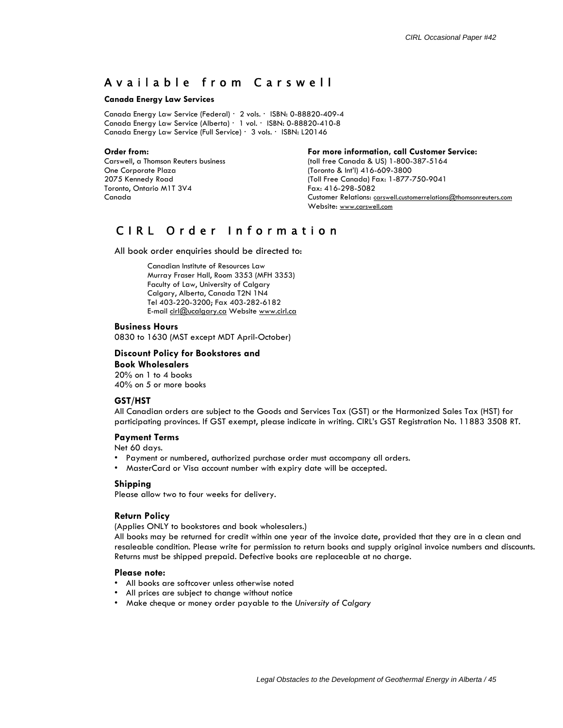## Available from Carswell

#### **Canada Energy Law Services**

Canada Energy Law Service (Federal) · 2 vols. · ISBN: 0-88820-409-4 Canada Energy Law Service (Alberta) · 1 vol. · ISBN: 0-88820-410-8 Canada Energy Law Service (Full Service) · 3 vols. · ISBN: L20146

#### **Order from:**

Carswell, a Thomson Reuters business One Corporate Plaza 2075 Kennedy Road Toronto, Ontario M1T 3V4 Canada

#### **For more information, call Customer Service:**

(toll free Canada & US) 1-800-387-5164 (Toronto & Int'l) 416-609-3800 (Toll Free Canada) Fax: 1-877-750-9041 Fax: 416-298-5082 Customer Relations: carswell.customerrelations@thomsonreuters.com Website: www.carswell.com

## CIRL Order Information

All book order enquiries should be directed to:

 Canadian Institute of Resources Law Murray Fraser Hall, Room 3353 (MFH 3353) Faculty of Law, University of Calgary Calgary, Alberta, Canada T2N 1N4 Tel 403-220-3200; Fax 403-282-6182 E-mail cirl@ucalgary.ca Website www.cirl.ca

#### **Business Hours**

0830 to 1630 (MST except MDT April-October)

### **Discount Policy for Bookstores and**

**Book Wholesalers** 20% on 1 to 4 books 40% on 5 or more books

#### **GST/HST**

All Canadian orders are subject to the Goods and Services Tax (GST) or the Harmonized Sales Tax (HST) for participating provinces. If GST exempt, please indicate in writing. CIRL's GST Registration No. 11883 3508 RT.

#### **Payment Terms**

Net 60 days.

- Payment or numbered, authorized purchase order must accompany all orders.
- MasterCard or Visa account number with expiry date will be accepted.

#### **Shipping**

Please allow two to four weeks for delivery.

#### **Return Policy**

(Applies ONLY to bookstores and book wholesalers.)

All books may be returned for credit within one year of the invoice date, provided that they are in a clean and resaleable condition. Please write for permission to return books and supply original invoice numbers and discounts. Returns must be shipped prepaid. Defective books are replaceable at no charge.

#### **Please note:**

- All books are softcover unless otherwise noted
- All prices are subject to change without notice
- Make cheque or money order payable to the *University of Calgary*